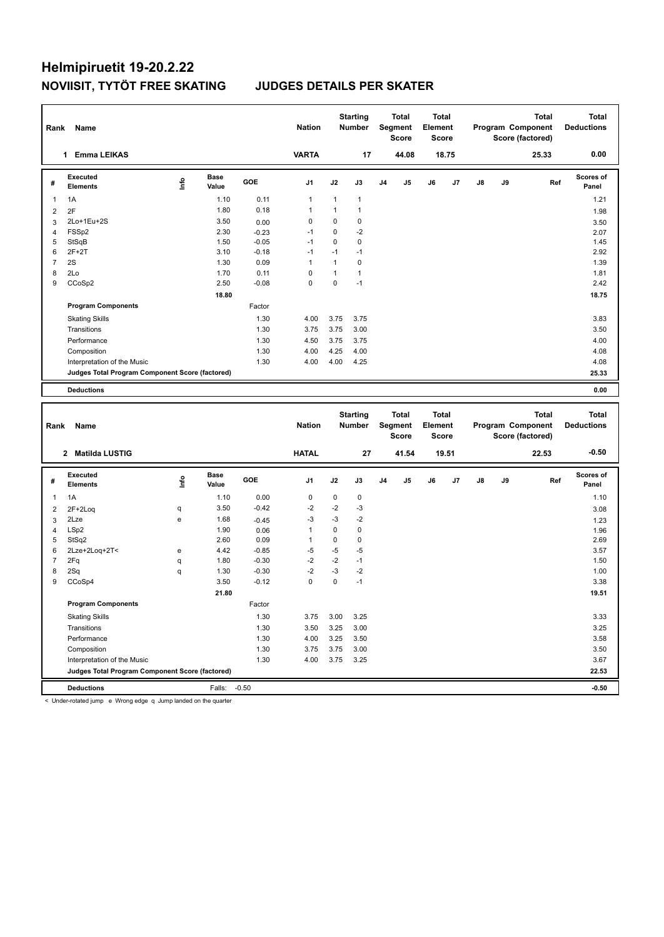| Rank           | Name                                            |      |                      |                    | <b>Nation</b>       |              | <b>Starting</b><br>Number |                | <b>Total</b><br>Segment<br><b>Score</b> | <b>Total</b><br>Element<br>Score |       |    |    | <b>Total</b><br>Program Component<br>Score (factored) | <b>Total</b><br><b>Deductions</b> |  |
|----------------|-------------------------------------------------|------|----------------------|--------------------|---------------------|--------------|---------------------------|----------------|-----------------------------------------|----------------------------------|-------|----|----|-------------------------------------------------------|-----------------------------------|--|
|                | 1 Emma LEIKAS                                   |      |                      |                    | <b>VARTA</b>        |              | 17                        |                | 44.08                                   |                                  | 18.75 |    |    | 25.33                                                 | 0.00                              |  |
| #              | <b>Executed</b><br><b>Elements</b>              | lnfo | <b>Base</b><br>Value | GOE                | J <sub>1</sub>      | J2           | J3                        | J <sub>4</sub> | J5                                      | J6                               | J7    | J8 | J9 | Ref                                                   | <b>Scores of</b><br>Panel         |  |
| 1              | 1A                                              |      | 1.10                 | 0.11               | $\mathbf{1}$        | $\mathbf{1}$ | $\mathbf{1}$              |                |                                         |                                  |       |    |    |                                                       | 1.21                              |  |
| $\overline{2}$ | 2F                                              |      | 1.80                 | 0.18               | $\mathbf{1}$        | $\mathbf{1}$ | $\mathbf{1}$              |                |                                         |                                  |       |    |    |                                                       | 1.98                              |  |
| 3              | 2Lo+1Eu+2S                                      |      | 3.50                 | 0.00               | $\mathbf 0$         | 0            | $\pmb{0}$                 |                |                                         |                                  |       |    |    |                                                       | 3.50                              |  |
| $\overline{4}$ | FSSp2                                           |      | 2.30                 | $-0.23$            | $-1$                | 0            | $-2$                      |                |                                         |                                  |       |    |    |                                                       | 2.07                              |  |
| 5              | StSqB                                           |      | 1.50                 | $-0.05$            | $-1$                | 0            | $\mathbf 0$               |                |                                         |                                  |       |    |    |                                                       | 1.45                              |  |
| 6              | $2F+2T$                                         |      | 3.10                 | $-0.18$            | $-1$                | $-1$         | $-1$                      |                |                                         |                                  |       |    |    |                                                       | 2.92                              |  |
| $\overline{7}$ | 2S                                              |      | 1.30                 | 0.09               | $\mathbf{1}$        | $\mathbf{1}$ | $\pmb{0}$                 |                |                                         |                                  |       |    |    |                                                       | 1.39                              |  |
| 8              | 2Lo                                             |      | 1.70                 | 0.11               | $\mathbf 0$         | $\mathbf{1}$ | $\mathbf{1}$              |                |                                         |                                  |       |    |    |                                                       | 1.81                              |  |
| 9              | CCoSp2                                          |      | 2.50                 | $-0.08$            | $\mathbf 0$         | 0            | $-1$                      |                |                                         |                                  |       |    |    |                                                       | 2.42                              |  |
|                |                                                 |      | 18.80                |                    |                     |              |                           |                |                                         |                                  |       |    |    |                                                       | 18.75                             |  |
|                | <b>Program Components</b>                       |      |                      | Factor             |                     |              |                           |                |                                         |                                  |       |    |    |                                                       |                                   |  |
|                | <b>Skating Skills</b>                           |      |                      | 1.30               | 4.00                | 3.75         | 3.75                      |                |                                         |                                  |       |    |    |                                                       | 3.83                              |  |
|                | Transitions                                     |      |                      | 1.30               | 3.75                | 3.75         | 3.00                      |                |                                         |                                  |       |    |    |                                                       | 3.50                              |  |
|                | Performance                                     |      |                      | 1.30               | 4.50                | 3.75         | 3.75                      |                |                                         |                                  |       |    |    |                                                       | 4.00                              |  |
|                | Composition                                     |      |                      | 1.30               | 4.00                | 4.25         | 4.00                      |                |                                         |                                  |       |    |    |                                                       | 4.08                              |  |
|                | Interpretation of the Music                     |      |                      | 1.30               | 4.00                | 4.00         | 4.25                      |                |                                         |                                  |       |    |    |                                                       | 4.08                              |  |
|                | Judges Total Program Component Score (factored) |      |                      |                    |                     |              |                           |                |                                         |                                  |       |    |    |                                                       | 25.33                             |  |
|                |                                                 |      |                      |                    |                     |              |                           |                |                                         |                                  |       |    |    |                                                       |                                   |  |
|                |                                                 |      |                      |                    |                     |              |                           |                |                                         |                                  |       |    |    |                                                       |                                   |  |
|                | <b>Deductions</b>                               |      |                      |                    |                     |              |                           |                |                                         |                                  |       |    |    |                                                       | 0.00                              |  |
|                |                                                 |      |                      |                    |                     |              |                           |                |                                         |                                  |       |    |    |                                                       |                                   |  |
|                |                                                 |      |                      |                    |                     |              | <b>Starting</b>           |                | <b>Total</b>                            | <b>Total</b>                     |       |    |    | <b>Total</b>                                          | <b>Total</b>                      |  |
| Rank           | Name                                            |      |                      |                    | <b>Nation</b>       |              | Number                    |                | Segment<br><b>Score</b>                 | Element<br><b>Score</b>          |       |    |    | Program Component<br>Score (factored)                 | <b>Deductions</b>                 |  |
|                | 2 Matilda LUSTIG                                |      |                      |                    | <b>HATAL</b>        |              | 27                        |                | 41.54                                   |                                  | 19.51 |    |    | 22.53                                                 | $-0.50$                           |  |
| #              | <b>Executed</b><br><b>Elements</b>              | lnfo | <b>Base</b><br>Value | GOE                | J <sub>1</sub>      | J2           | J3                        | J <sub>4</sub> | J5                                      | J6                               | J7    | J8 | J9 | Ref                                                   | Scores of<br>Panel                |  |
|                |                                                 |      |                      |                    |                     |              |                           |                |                                         |                                  |       |    |    |                                                       |                                   |  |
| $\mathbf{1}$   | 1A                                              |      | 1.10                 | 0.00               | $\mathbf 0$         | 0            | $\pmb{0}$                 |                |                                         |                                  |       |    |    |                                                       | 1.10                              |  |
| $\overline{2}$ | 2F+2Loq                                         | q    | 3.50                 | $-0.42$            | $-2$                | $-2$         | -3                        |                |                                         |                                  |       |    |    |                                                       | 3.08                              |  |
| 3              | 2Lze                                            | e    | 1.68                 | $-0.45$            | $-3$                | $-3$         | $-2$                      |                |                                         |                                  |       |    |    |                                                       | 1.23                              |  |
| $\overline{4}$ | LSp2                                            |      | 1.90                 | 0.06               | $\mathbf{1}$        | 0            | $\pmb{0}$                 |                |                                         |                                  |       |    |    |                                                       | 1.96                              |  |
| 5              | StSq2                                           |      | 2.60                 | 0.09               | $\mathbf{1}$        | 0            | $\mathbf 0$               |                |                                         |                                  |       |    |    |                                                       | 2.69                              |  |
| 6              | 2Lze+2Loq+2T<                                   | e    | 4.42                 | $-0.85$            | $-5$                | $-5$         | $-5$<br>$-1$              |                |                                         |                                  |       |    |    |                                                       | 3.57                              |  |
| $\overline{7}$ | 2Fq                                             | q    | 1.80                 | $-0.30$            | $-2$                | $-2$         |                           |                |                                         |                                  |       |    |    |                                                       | 1.50                              |  |
| 8<br>9         | 2Sq<br>CCoSp4                                   | q    | 1.30<br>3.50         | $-0.30$<br>$-0.12$ | $-2$<br>$\mathbf 0$ | $-3$<br>0    | $-2$<br>$-1$              |                |                                         |                                  |       |    |    |                                                       | 1.00<br>3.38                      |  |
|                |                                                 |      |                      |                    |                     |              |                           |                |                                         |                                  |       |    |    |                                                       |                                   |  |
|                |                                                 |      | 21.80                |                    |                     |              |                           |                |                                         |                                  |       |    |    |                                                       | 19.51                             |  |
|                | <b>Program Components</b>                       |      |                      | Factor             |                     |              |                           |                |                                         |                                  |       |    |    |                                                       |                                   |  |
|                | <b>Skating Skills</b>                           |      |                      | 1.30               | 3.75                | 3.00         | 3.25                      |                |                                         |                                  |       |    |    |                                                       | 3.33                              |  |
|                | Transitions                                     |      |                      | 1.30               | 3.50                | 3.25         | 3.00                      |                |                                         |                                  |       |    |    |                                                       | 3.25                              |  |
|                | Performance<br>Composition                      |      |                      | 1.30<br>1.30       | 4.00<br>3.75        | 3.25<br>3.75 | 3.50<br>3.00              |                |                                         |                                  |       |    |    |                                                       | 3.58<br>3.50                      |  |

**Deductions** Falls: -0.50 **-0.50 Judges Total Program Component Score (factored) 22.53**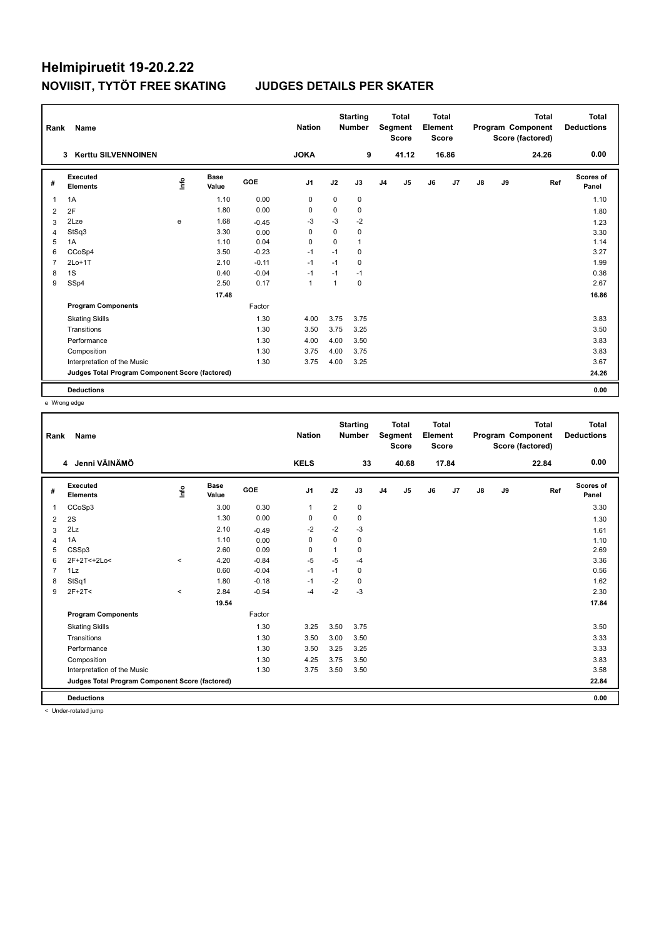| Rank           | Name                                            |      |                      |         | <b>Nation</b>  |              | <b>Starting</b><br><b>Number</b> |                | <b>Total</b><br>Segment<br><b>Score</b> | Total<br>Element<br><b>Score</b> |                |    |    | <b>Total</b><br>Program Component<br>Score (factored) | <b>Total</b><br><b>Deductions</b> |
|----------------|-------------------------------------------------|------|----------------------|---------|----------------|--------------|----------------------------------|----------------|-----------------------------------------|----------------------------------|----------------|----|----|-------------------------------------------------------|-----------------------------------|
|                | <b>Kerttu SILVENNOINEN</b><br>3                 |      |                      |         | <b>JOKA</b>    |              | 9                                |                | 41.12                                   |                                  | 16.86          |    |    | 24.26                                                 | 0.00                              |
| #              | Executed<br><b>Elements</b>                     | Life | <b>Base</b><br>Value | GOE     | J <sub>1</sub> | J2           | J3                               | J <sub>4</sub> | J5                                      | J6                               | J <sub>7</sub> | J8 | J9 | Ref                                                   | Scores of<br>Panel                |
| 1              | 1A                                              |      | 1.10                 | 0.00    | 0              | 0            | 0                                |                |                                         |                                  |                |    |    |                                                       | 1.10                              |
| 2              | 2F                                              |      | 1.80                 | 0.00    | 0              | 0            | 0                                |                |                                         |                                  |                |    |    |                                                       | 1.80                              |
| 3              | 2Lze                                            | e    | 1.68                 | $-0.45$ | $-3$           | $-3$         | $-2$                             |                |                                         |                                  |                |    |    |                                                       | 1.23                              |
| $\overline{4}$ | StSq3                                           |      | 3.30                 | 0.00    | 0              | 0            | 0                                |                |                                         |                                  |                |    |    |                                                       | 3.30                              |
| 5              | 1A                                              |      | 1.10                 | 0.04    | 0              | 0            | 1                                |                |                                         |                                  |                |    |    |                                                       | 1.14                              |
| 6              | CCoSp4                                          |      | 3.50                 | $-0.23$ | $-1$           | $-1$         | 0                                |                |                                         |                                  |                |    |    |                                                       | 3.27                              |
| $\overline{7}$ | $2Lo+1T$                                        |      | 2.10                 | $-0.11$ | $-1$           | $-1$         | 0                                |                |                                         |                                  |                |    |    |                                                       | 1.99                              |
| 8              | 1S                                              |      | 0.40                 | $-0.04$ | $-1$           | $-1$         | $-1$                             |                |                                         |                                  |                |    |    |                                                       | 0.36                              |
| 9              | SSp4                                            |      | 2.50                 | 0.17    | $\mathbf{1}$   | $\mathbf{1}$ | 0                                |                |                                         |                                  |                |    |    |                                                       | 2.67                              |
|                |                                                 |      | 17.48                |         |                |              |                                  |                |                                         |                                  |                |    |    |                                                       | 16.86                             |
|                | <b>Program Components</b>                       |      |                      | Factor  |                |              |                                  |                |                                         |                                  |                |    |    |                                                       |                                   |
|                | <b>Skating Skills</b>                           |      |                      | 1.30    | 4.00           | 3.75         | 3.75                             |                |                                         |                                  |                |    |    |                                                       | 3.83                              |
|                | Transitions                                     |      |                      | 1.30    | 3.50           | 3.75         | 3.25                             |                |                                         |                                  |                |    |    |                                                       | 3.50                              |
|                | Performance                                     |      |                      | 1.30    | 4.00           | 4.00         | 3.50                             |                |                                         |                                  |                |    |    |                                                       | 3.83                              |
|                | Composition                                     |      |                      | 1.30    | 3.75           | 4.00         | 3.75                             |                |                                         |                                  |                |    |    |                                                       | 3.83                              |
|                | Interpretation of the Music                     |      |                      | 1.30    | 3.75           | 4.00         | 3.25                             |                |                                         |                                  |                |    |    |                                                       | 3.67                              |
|                | Judges Total Program Component Score (factored) |      |                      |         |                |              |                                  |                |                                         |                                  |                |    |    |                                                       | 24.26                             |
|                | <b>Deductions</b>                               |      |                      |         |                |              |                                  |                |                                         |                                  |                |    |    |                                                       | 0.00                              |

e Wrong edge

| Rank           | Name                                            |         |                      |            | <b>Nation</b> |                | <b>Starting</b><br><b>Number</b> |                | <b>Total</b><br>Segment<br><b>Score</b> | <b>Total</b><br>Element<br><b>Score</b> |       |               |    | <b>Total</b><br>Program Component<br>Score (factored) | <b>Total</b><br><b>Deductions</b> |
|----------------|-------------------------------------------------|---------|----------------------|------------|---------------|----------------|----------------------------------|----------------|-----------------------------------------|-----------------------------------------|-------|---------------|----|-------------------------------------------------------|-----------------------------------|
|                | 4 Jenni VÄINÄMÖ                                 |         |                      |            | <b>KELS</b>   |                | 33                               |                | 40.68                                   |                                         | 17.84 |               |    | 22.84                                                 | 0.00                              |
| #              | Executed<br><b>Elements</b>                     | ١rfo    | <b>Base</b><br>Value | <b>GOE</b> | J1            | J2             | J3                               | J <sub>4</sub> | J5                                      | J6                                      | J7    | $\mathsf{J}8$ | J9 | Ref                                                   | <b>Scores of</b><br>Panel         |
| $\overline{1}$ | CCoSp3                                          |         | 3.00                 | 0.30       | $\mathbf{1}$  | $\overline{2}$ | 0                                |                |                                         |                                         |       |               |    |                                                       | 3.30                              |
| 2              | 2S                                              |         | 1.30                 | 0.00       | 0             | 0              | 0                                |                |                                         |                                         |       |               |    |                                                       | 1.30                              |
| 3              | 2Lz                                             |         | 2.10                 | $-0.49$    | $-2$          | $-2$           | $-3$                             |                |                                         |                                         |       |               |    |                                                       | 1.61                              |
| $\overline{4}$ | 1A                                              |         | 1.10                 | 0.00       | $\mathbf 0$   | 0              | 0                                |                |                                         |                                         |       |               |    |                                                       | 1.10                              |
| 5              | CSSp3                                           |         | 2.60                 | 0.09       | 0             | 1              | 0                                |                |                                         |                                         |       |               |    |                                                       | 2.69                              |
| 6              | 2F+2T<+2Lo<                                     | $\prec$ | 4.20                 | $-0.84$    | $-5$          | $-5$           | $-4$                             |                |                                         |                                         |       |               |    |                                                       | 3.36                              |
| $\overline{7}$ | 1Lz                                             |         | 0.60                 | $-0.04$    | $-1$          | $-1$           | 0                                |                |                                         |                                         |       |               |    |                                                       | 0.56                              |
| 8              | StSq1                                           |         | 1.80                 | $-0.18$    | $-1$          | $-2$           | 0                                |                |                                         |                                         |       |               |    |                                                       | 1.62                              |
| 9              | $2F+2T<$                                        | $\prec$ | 2.84                 | $-0.54$    | -4            | $-2$           | $-3$                             |                |                                         |                                         |       |               |    |                                                       | 2.30                              |
|                |                                                 |         | 19.54                |            |               |                |                                  |                |                                         |                                         |       |               |    |                                                       | 17.84                             |
|                | <b>Program Components</b>                       |         |                      | Factor     |               |                |                                  |                |                                         |                                         |       |               |    |                                                       |                                   |
|                | <b>Skating Skills</b>                           |         |                      | 1.30       | 3.25          | 3.50           | 3.75                             |                |                                         |                                         |       |               |    |                                                       | 3.50                              |
|                | Transitions                                     |         |                      | 1.30       | 3.50          | 3.00           | 3.50                             |                |                                         |                                         |       |               |    |                                                       | 3.33                              |
|                | Performance                                     |         |                      | 1.30       | 3.50          | 3.25           | 3.25                             |                |                                         |                                         |       |               |    |                                                       | 3.33                              |
|                | Composition                                     |         |                      | 1.30       | 4.25          | 3.75           | 3.50                             |                |                                         |                                         |       |               |    |                                                       | 3.83                              |
|                | Interpretation of the Music                     |         |                      | 1.30       | 3.75          | 3.50           | 3.50                             |                |                                         |                                         |       |               |    |                                                       | 3.58                              |
|                | Judges Total Program Component Score (factored) |         |                      |            |               |                |                                  |                |                                         |                                         |       |               |    |                                                       | 22.84                             |
|                | <b>Deductions</b>                               |         |                      |            |               |                |                                  |                |                                         |                                         |       |               |    |                                                       | 0.00                              |
|                | $\geq$ Lindor rotatod iumn                      |         |                      |            |               |                |                                  |                |                                         |                                         |       |               |    |                                                       |                                   |

< Under-rotated jump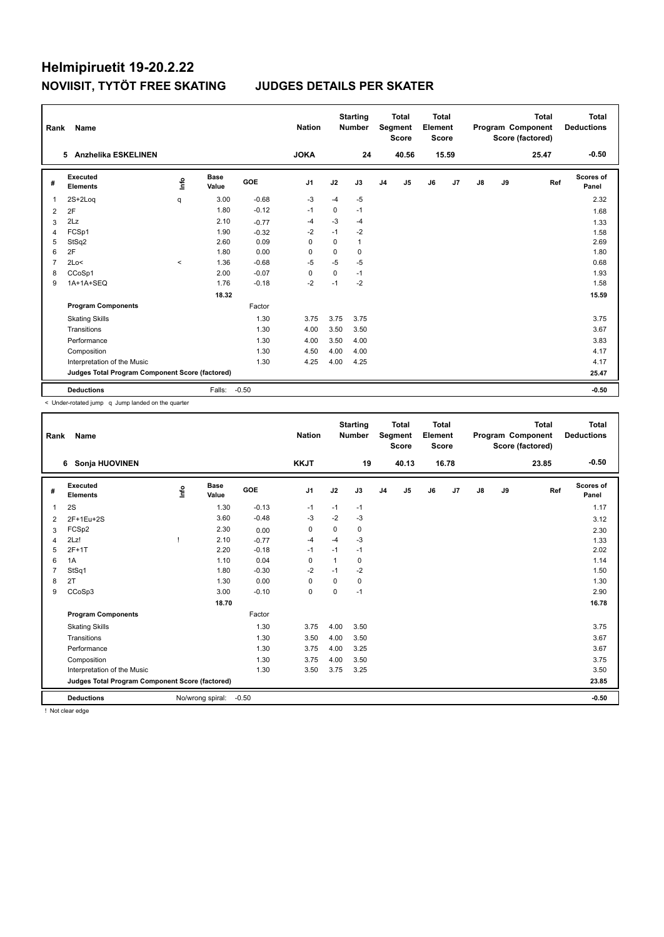| Rank           | Name                                            |                                  |                      |            | <b>Nation</b>  |             | <b>Starting</b><br><b>Number</b> |                | <b>Total</b><br>Segment<br><b>Score</b> | Total<br>Element<br><b>Score</b> |                |               |    | <b>Total</b><br>Program Component<br>Score (factored) | Total<br><b>Deductions</b> |
|----------------|-------------------------------------------------|----------------------------------|----------------------|------------|----------------|-------------|----------------------------------|----------------|-----------------------------------------|----------------------------------|----------------|---------------|----|-------------------------------------------------------|----------------------------|
|                | Anzhelika ESKELINEN<br>5.                       |                                  |                      |            | <b>JOKA</b>    |             | 24                               |                | 40.56                                   |                                  | 15.59          |               |    | 25.47                                                 | $-0.50$                    |
| #              | Executed<br><b>Elements</b>                     | $\mathop{\mathsf{Int}}\nolimits$ | <b>Base</b><br>Value | <b>GOE</b> | J <sub>1</sub> | J2          | J3                               | J <sub>4</sub> | J5                                      | J6                               | J <sub>7</sub> | $\mathsf{J}8$ | J9 | Ref                                                   | <b>Scores of</b><br>Panel  |
| $\overline{1}$ | $2S+2Log$                                       | q                                | 3.00                 | $-0.68$    | -3             | $-4$        | $-5$                             |                |                                         |                                  |                |               |    |                                                       | 2.32                       |
| 2              | 2F                                              |                                  | 1.80                 | $-0.12$    | $-1$           | 0           | $-1$                             |                |                                         |                                  |                |               |    |                                                       | 1.68                       |
| 3              | 2Lz                                             |                                  | 2.10                 | $-0.77$    | $-4$           | $-3$        | $-4$                             |                |                                         |                                  |                |               |    |                                                       | 1.33                       |
| 4              | FCSp1                                           |                                  | 1.90                 | $-0.32$    | $-2$           | $-1$        | $-2$                             |                |                                         |                                  |                |               |    |                                                       | 1.58                       |
| 5              | StSq2                                           |                                  | 2.60                 | 0.09       | $\mathbf 0$    | $\mathbf 0$ | 1                                |                |                                         |                                  |                |               |    |                                                       | 2.69                       |
| 6              | 2F                                              |                                  | 1.80                 | 0.00       | $\mathbf 0$    | 0           | 0                                |                |                                         |                                  |                |               |    |                                                       | 1.80                       |
| $\overline{7}$ | 2Lo<                                            | $\prec$                          | 1.36                 | $-0.68$    | $-5$           | $-5$        | $-5$                             |                |                                         |                                  |                |               |    |                                                       | 0.68                       |
| 8              | CCoSp1                                          |                                  | 2.00                 | $-0.07$    | $\mathbf 0$    | 0           | $-1$                             |                |                                         |                                  |                |               |    |                                                       | 1.93                       |
| 9              | 1A+1A+SEQ                                       |                                  | 1.76                 | $-0.18$    | $-2$           | $-1$        | $-2$                             |                |                                         |                                  |                |               |    |                                                       | 1.58                       |
|                |                                                 |                                  | 18.32                |            |                |             |                                  |                |                                         |                                  |                |               |    |                                                       | 15.59                      |
|                | <b>Program Components</b>                       |                                  |                      | Factor     |                |             |                                  |                |                                         |                                  |                |               |    |                                                       |                            |
|                | <b>Skating Skills</b>                           |                                  |                      | 1.30       | 3.75           | 3.75        | 3.75                             |                |                                         |                                  |                |               |    |                                                       | 3.75                       |
|                | Transitions                                     |                                  |                      | 1.30       | 4.00           | 3.50        | 3.50                             |                |                                         |                                  |                |               |    |                                                       | 3.67                       |
|                | Performance                                     |                                  |                      | 1.30       | 4.00           | 3.50        | 4.00                             |                |                                         |                                  |                |               |    |                                                       | 3.83                       |
|                | Composition                                     |                                  |                      | 1.30       | 4.50           | 4.00        | 4.00                             |                |                                         |                                  |                |               |    |                                                       | 4.17                       |
|                | Interpretation of the Music                     |                                  |                      | 1.30       | 4.25           | 4.00        | 4.25                             |                |                                         |                                  |                |               |    |                                                       | 4.17                       |
|                | Judges Total Program Component Score (factored) |                                  |                      |            |                |             |                                  |                |                                         |                                  |                |               |    |                                                       | 25.47                      |
|                | <b>Deductions</b>                               |                                  | Falls:               | $-0.50$    |                |             |                                  |                |                                         |                                  |                |               |    |                                                       | $-0.50$                    |

< Under-rotated jump q Jump landed on the quarter

| Rank           | <b>Name</b>                                     |      |                  |         | <b>Nation</b>  |          | <b>Starting</b><br><b>Number</b> |                | <b>Total</b><br>Segment<br><b>Score</b> | <b>Total</b><br>Element<br><b>Score</b> |       |    |    | <b>Total</b><br>Program Component<br>Score (factored) | <b>Total</b><br><b>Deductions</b> |
|----------------|-------------------------------------------------|------|------------------|---------|----------------|----------|----------------------------------|----------------|-----------------------------------------|-----------------------------------------|-------|----|----|-------------------------------------------------------|-----------------------------------|
|                | Sonja HUOVINEN<br>6                             |      |                  |         | <b>KKJT</b>    |          | 19                               |                | 40.13                                   |                                         | 16.78 |    |    | 23.85                                                 | $-0.50$                           |
| #              | Executed<br><b>Elements</b>                     | Info | Base<br>Value    | GOE     | J <sub>1</sub> | J2       | J3                               | J <sub>4</sub> | J <sub>5</sub>                          | J6                                      | J7    | J8 | J9 | Ref                                                   | Scores of<br>Panel                |
| $\overline{1}$ | 2S                                              |      | 1.30             | $-0.13$ | $-1$           | $-1$     | $-1$                             |                |                                         |                                         |       |    |    |                                                       | 1.17                              |
| 2              | 2F+1Eu+2S                                       |      | 3.60             | $-0.48$ | $-3$           | $-2$     | $-3$                             |                |                                         |                                         |       |    |    |                                                       | 3.12                              |
| 3              | FCSp2                                           |      | 2.30             | 0.00    | 0              | 0        | 0                                |                |                                         |                                         |       |    |    |                                                       | 2.30                              |
| 4              | 2Lz!                                            |      | 2.10             | $-0.77$ | $-4$           | $-4$     | $-3$                             |                |                                         |                                         |       |    |    |                                                       | 1.33                              |
| 5              | $2F+1T$                                         |      | 2.20             | $-0.18$ | $-1$           | $-1$     | $-1$                             |                |                                         |                                         |       |    |    |                                                       | 2.02                              |
| 6              | 1A                                              |      | 1.10             | 0.04    | $\Omega$       | 1        | 0                                |                |                                         |                                         |       |    |    |                                                       | 1.14                              |
| $\overline{7}$ | StSq1                                           |      | 1.80             | $-0.30$ | $-2$           | $-1$     | $-2$                             |                |                                         |                                         |       |    |    |                                                       | 1.50                              |
| 8              | 2T                                              |      | 1.30             | 0.00    | 0              | 0        | 0                                |                |                                         |                                         |       |    |    |                                                       | 1.30                              |
| 9              | CCoSp3                                          |      | 3.00             | $-0.10$ | $\mathbf 0$    | $\Omega$ | $-1$                             |                |                                         |                                         |       |    |    |                                                       | 2.90                              |
|                |                                                 |      | 18.70            |         |                |          |                                  |                |                                         |                                         |       |    |    |                                                       | 16.78                             |
|                | <b>Program Components</b>                       |      |                  | Factor  |                |          |                                  |                |                                         |                                         |       |    |    |                                                       |                                   |
|                | <b>Skating Skills</b>                           |      |                  | 1.30    | 3.75           | 4.00     | 3.50                             |                |                                         |                                         |       |    |    |                                                       | 3.75                              |
|                | Transitions                                     |      |                  | 1.30    | 3.50           | 4.00     | 3.50                             |                |                                         |                                         |       |    |    |                                                       | 3.67                              |
|                | Performance                                     |      |                  | 1.30    | 3.75           | 4.00     | 3.25                             |                |                                         |                                         |       |    |    |                                                       | 3.67                              |
|                | Composition                                     |      |                  | 1.30    | 3.75           | 4.00     | 3.50                             |                |                                         |                                         |       |    |    |                                                       | 3.75                              |
|                | Interpretation of the Music                     |      |                  | 1.30    | 3.50           | 3.75     | 3.25                             |                |                                         |                                         |       |    |    |                                                       | 3.50                              |
|                | Judges Total Program Component Score (factored) |      |                  |         |                |          |                                  |                |                                         |                                         |       |    |    |                                                       | 23.85                             |
|                | <b>Deductions</b>                               |      | No/wrong spiral: | $-0.50$ |                |          |                                  |                |                                         |                                         |       |    |    |                                                       | $-0.50$                           |

! Not clear edge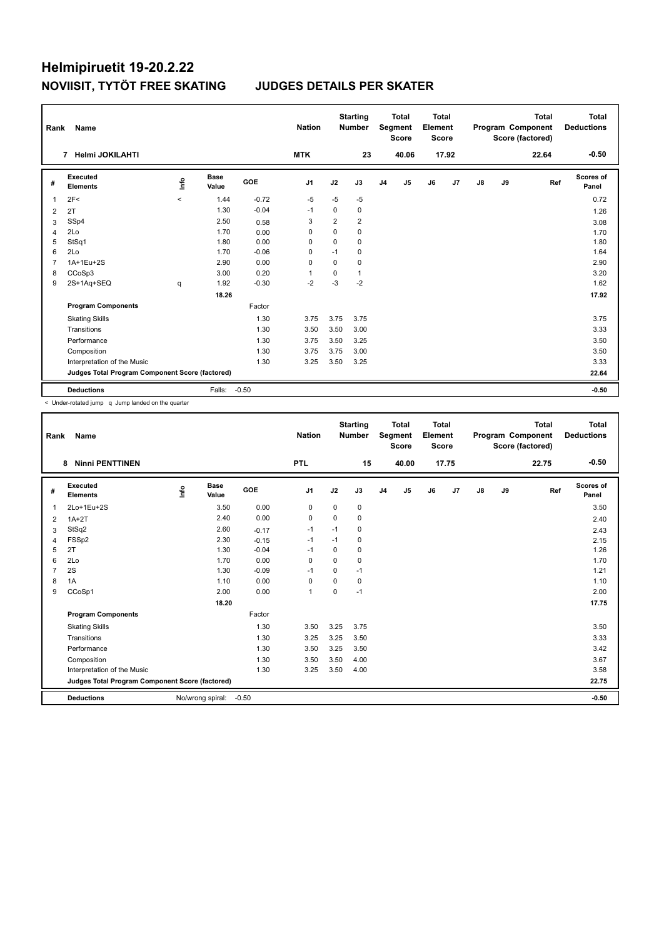| Rank           | Name                                            |                                  | <b>Nation</b>        |            | <b>Starting</b><br><b>Number</b> |                | <b>Total</b><br>Segment<br><b>Score</b> | Total<br>Element<br><b>Score</b> |       |    |                | <b>Total</b><br>Program Component<br>Score (factored) | Total<br><b>Deductions</b> |       |                           |
|----------------|-------------------------------------------------|----------------------------------|----------------------|------------|----------------------------------|----------------|-----------------------------------------|----------------------------------|-------|----|----------------|-------------------------------------------------------|----------------------------|-------|---------------------------|
|                | Helmi JOKILAHTI<br>$\overline{7}$               |                                  |                      |            | <b>MTK</b>                       |                | 23                                      |                                  | 40.06 |    | 17.92          |                                                       |                            | 22.64 | $-0.50$                   |
| #              | Executed<br><b>Elements</b>                     | $\mathop{\mathsf{Int}}\nolimits$ | <b>Base</b><br>Value | <b>GOE</b> | J <sub>1</sub>                   | J2             | J3                                      | J <sub>4</sub>                   | J5    | J6 | J <sub>7</sub> | $\mathsf{J}8$                                         | J9                         | Ref   | <b>Scores of</b><br>Panel |
| $\overline{1}$ | 2F<                                             | $\prec$                          | 1.44                 | $-0.72$    | $-5$                             | $-5$           | $-5$                                    |                                  |       |    |                |                                                       |                            |       | 0.72                      |
| 2              | 2T                                              |                                  | 1.30                 | $-0.04$    | $-1$                             | 0              | 0                                       |                                  |       |    |                |                                                       |                            |       | 1.26                      |
| 3              | SSp4                                            |                                  | 2.50                 | 0.58       | 3                                | $\overline{2}$ | $\overline{2}$                          |                                  |       |    |                |                                                       |                            |       | 3.08                      |
| $\overline{4}$ | 2Lo                                             |                                  | 1.70                 | 0.00       | 0                                | $\Omega$       | 0                                       |                                  |       |    |                |                                                       |                            |       | 1.70                      |
| 5              | StSq1                                           |                                  | 1.80                 | 0.00       | 0                                | $\mathbf 0$    | 0                                       |                                  |       |    |                |                                                       |                            |       | 1.80                      |
| 6              | 2Lo                                             |                                  | 1.70                 | $-0.06$    | $\mathbf 0$                      | $-1$           | 0                                       |                                  |       |    |                |                                                       |                            |       | 1.64                      |
| $\overline{7}$ | 1A+1Eu+2S                                       |                                  | 2.90                 | 0.00       | $\mathbf 0$                      | $\mathbf 0$    | 0                                       |                                  |       |    |                |                                                       |                            |       | 2.90                      |
| 8              | CCoSp3                                          |                                  | 3.00                 | 0.20       |                                  | 0              | 1                                       |                                  |       |    |                |                                                       |                            |       | 3.20                      |
| 9              | 2S+1Aq+SEQ                                      | q                                | 1.92                 | $-0.30$    | $-2$                             | $-3$           | $-2$                                    |                                  |       |    |                |                                                       |                            |       | 1.62                      |
|                |                                                 |                                  | 18.26                |            |                                  |                |                                         |                                  |       |    |                |                                                       |                            |       | 17.92                     |
|                | <b>Program Components</b>                       |                                  |                      | Factor     |                                  |                |                                         |                                  |       |    |                |                                                       |                            |       |                           |
|                | <b>Skating Skills</b>                           |                                  |                      | 1.30       | 3.75                             | 3.75           | 3.75                                    |                                  |       |    |                |                                                       |                            |       | 3.75                      |
|                | Transitions                                     |                                  |                      | 1.30       | 3.50                             | 3.50           | 3.00                                    |                                  |       |    |                |                                                       |                            |       | 3.33                      |
|                | Performance                                     |                                  |                      | 1.30       | 3.75                             | 3.50           | 3.25                                    |                                  |       |    |                |                                                       |                            |       | 3.50                      |
|                | Composition                                     |                                  |                      | 1.30       | 3.75                             | 3.75           | 3.00                                    |                                  |       |    |                |                                                       |                            |       | 3.50                      |
|                | Interpretation of the Music                     |                                  |                      | 1.30       | 3.25                             | 3.50           | 3.25                                    |                                  |       |    |                |                                                       |                            |       | 3.33                      |
|                | Judges Total Program Component Score (factored) |                                  |                      |            |                                  |                |                                         |                                  |       |    |                |                                                       |                            |       | 22.64                     |
|                | <b>Deductions</b>                               |                                  | Falls:               | $-0.50$    |                                  |                |                                         |                                  |       |    |                |                                                       |                            |       | $-0.50$                   |

< Under-rotated jump q Jump landed on the quarter

| Rank           | <b>Name</b>                                     |    |                      |         | <b>Nation</b> |          | <b>Starting</b><br><b>Number</b> |                | <b>Total</b><br>Segment<br><b>Score</b> | <b>Total</b><br>Element<br><b>Score</b> |       |               |    | <b>Total</b><br>Program Component<br>Score (factored) | <b>Total</b><br><b>Deductions</b> |
|----------------|-------------------------------------------------|----|----------------------|---------|---------------|----------|----------------------------------|----------------|-----------------------------------------|-----------------------------------------|-------|---------------|----|-------------------------------------------------------|-----------------------------------|
|                | <b>Ninni PENTTINEN</b><br>8                     |    |                      |         | <b>PTL</b>    |          | 15                               |                | 40.00                                   |                                         | 17.75 |               |    | 22.75                                                 | $-0.50$                           |
| #              | <b>Executed</b><br><b>Elements</b>              | ۴٥ | <b>Base</b><br>Value | GOE     | J1            | J2       | J3                               | J <sub>4</sub> | J5                                      | J6                                      | J7    | $\mathsf{J}8$ | J9 | Ref                                                   | <b>Scores of</b><br>Panel         |
| $\overline{1}$ | 2Lo+1Eu+2S                                      |    | 3.50                 | 0.00    | 0             | 0        | 0                                |                |                                         |                                         |       |               |    |                                                       | 3.50                              |
| 2              | $1A+2T$                                         |    | 2.40                 | 0.00    | $\mathbf 0$   | 0        | 0                                |                |                                         |                                         |       |               |    |                                                       | 2.40                              |
| 3              | StSq2                                           |    | 2.60                 | $-0.17$ | $-1$          | $-1$     | 0                                |                |                                         |                                         |       |               |    |                                                       | 2.43                              |
| 4              | FSSp2                                           |    | 2.30                 | $-0.15$ | $-1$          | $-1$     | 0                                |                |                                         |                                         |       |               |    |                                                       | 2.15                              |
| 5              | 2T                                              |    | 1.30                 | $-0.04$ | $-1$          | 0        | 0                                |                |                                         |                                         |       |               |    |                                                       | 1.26                              |
| 6              | 2Lo                                             |    | 1.70                 | 0.00    | $\Omega$      | $\Omega$ | 0                                |                |                                         |                                         |       |               |    |                                                       | 1.70                              |
| $\overline{7}$ | 2S                                              |    | 1.30                 | $-0.09$ | $-1$          | $\Omega$ | $-1$                             |                |                                         |                                         |       |               |    |                                                       | 1.21                              |
| 8              | 1A                                              |    | 1.10                 | 0.00    | $\mathbf 0$   | $\Omega$ | 0                                |                |                                         |                                         |       |               |    |                                                       | 1.10                              |
| 9              | CCoSp1                                          |    | 2.00                 | 0.00    | $\mathbf{1}$  | $\Omega$ | $-1$                             |                |                                         |                                         |       |               |    |                                                       | 2.00                              |
|                |                                                 |    | 18.20                |         |               |          |                                  |                |                                         |                                         |       |               |    |                                                       | 17.75                             |
|                | <b>Program Components</b>                       |    |                      | Factor  |               |          |                                  |                |                                         |                                         |       |               |    |                                                       |                                   |
|                | <b>Skating Skills</b>                           |    |                      | 1.30    | 3.50          | 3.25     | 3.75                             |                |                                         |                                         |       |               |    |                                                       | 3.50                              |
|                | Transitions                                     |    |                      | 1.30    | 3.25          | 3.25     | 3.50                             |                |                                         |                                         |       |               |    |                                                       | 3.33                              |
|                | Performance                                     |    |                      | 1.30    | 3.50          | 3.25     | 3.50                             |                |                                         |                                         |       |               |    |                                                       | 3.42                              |
|                | Composition                                     |    |                      | 1.30    | 3.50          | 3.50     | 4.00                             |                |                                         |                                         |       |               |    |                                                       | 3.67                              |
|                | Interpretation of the Music                     |    |                      | 1.30    | 3.25          | 3.50     | 4.00                             |                |                                         |                                         |       |               |    |                                                       | 3.58                              |
|                | Judges Total Program Component Score (factored) |    |                      |         |               |          |                                  |                |                                         |                                         |       |               |    |                                                       | 22.75                             |
|                | <b>Deductions</b>                               |    | No/wrong spiral:     | $-0.50$ |               |          |                                  |                |                                         |                                         |       |               |    |                                                       | $-0.50$                           |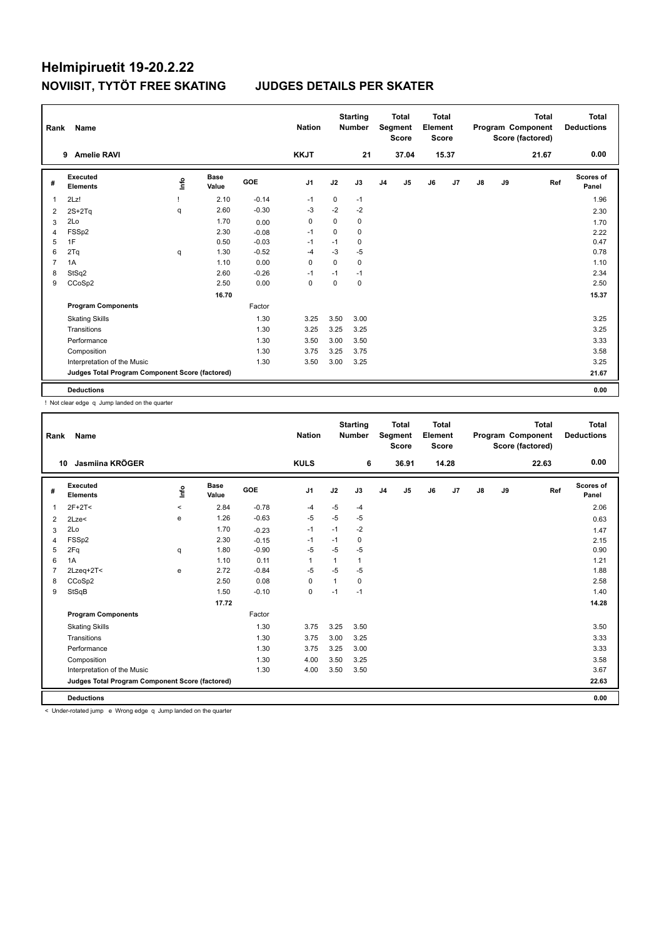| Rank           | Name                                            |      | <b>Nation</b>        |            | <b>Starting</b><br><b>Number</b> |             | <b>Total</b><br>Segment<br><b>Score</b> | <b>Total</b><br>Element<br><b>Score</b> |       |    |                | <b>Total</b><br>Program Component<br>Score (factored) | <b>Total</b><br><b>Deductions</b> |       |                           |
|----------------|-------------------------------------------------|------|----------------------|------------|----------------------------------|-------------|-----------------------------------------|-----------------------------------------|-------|----|----------------|-------------------------------------------------------|-----------------------------------|-------|---------------------------|
|                | <b>Amelie RAVI</b><br>9                         |      |                      |            | <b>KKJT</b>                      |             | 21                                      |                                         | 37.04 |    | 15.37          |                                                       |                                   | 21.67 | 0.00                      |
| #              | <b>Executed</b><br><b>Elements</b>              | lnfo | <b>Base</b><br>Value | <b>GOE</b> | J <sub>1</sub>                   | J2          | J3                                      | J <sub>4</sub>                          | J5    | J6 | J <sub>7</sub> | $\mathsf{J}8$                                         | J9                                | Ref   | <b>Scores of</b><br>Panel |
| 1              | 2Lz!                                            |      | 2.10                 | $-0.14$    | $-1$                             | $\mathbf 0$ | $-1$                                    |                                         |       |    |                |                                                       |                                   |       | 1.96                      |
| 2              | $2S+2Tq$                                        | q    | 2.60                 | $-0.30$    | -3                               | $-2$        | $-2$                                    |                                         |       |    |                |                                                       |                                   |       | 2.30                      |
| 3              | 2Lo                                             |      | 1.70                 | 0.00       | 0                                | $\mathbf 0$ | 0                                       |                                         |       |    |                |                                                       |                                   |       | 1.70                      |
| 4              | FSSp2                                           |      | 2.30                 | $-0.08$    | $-1$                             | $\mathbf 0$ | $\mathbf 0$                             |                                         |       |    |                |                                                       |                                   |       | 2.22                      |
| 5              | 1F                                              |      | 0.50                 | $-0.03$    | $-1$                             | $-1$        | 0                                       |                                         |       |    |                |                                                       |                                   |       | 0.47                      |
| 6              | 2Tq                                             | q    | 1.30                 | $-0.52$    | -4                               | $-3$        | $-5$                                    |                                         |       |    |                |                                                       |                                   |       | 0.78                      |
| $\overline{7}$ | 1A                                              |      | 1.10                 | 0.00       | 0                                | $\Omega$    | $\mathbf 0$                             |                                         |       |    |                |                                                       |                                   |       | 1.10                      |
| 8              | StSq2                                           |      | 2.60                 | $-0.26$    | -1                               | $-1$        | $-1$                                    |                                         |       |    |                |                                                       |                                   |       | 2.34                      |
| 9              | CCoSp2                                          |      | 2.50                 | 0.00       | $\mathbf 0$                      | $\mathbf 0$ | $\mathbf 0$                             |                                         |       |    |                |                                                       |                                   |       | 2.50                      |
|                |                                                 |      | 16.70                |            |                                  |             |                                         |                                         |       |    |                |                                                       |                                   |       | 15.37                     |
|                | <b>Program Components</b>                       |      |                      | Factor     |                                  |             |                                         |                                         |       |    |                |                                                       |                                   |       |                           |
|                | <b>Skating Skills</b>                           |      |                      | 1.30       | 3.25                             | 3.50        | 3.00                                    |                                         |       |    |                |                                                       |                                   |       | 3.25                      |
|                | Transitions                                     |      |                      | 1.30       | 3.25                             | 3.25        | 3.25                                    |                                         |       |    |                |                                                       |                                   |       | 3.25                      |
|                | Performance                                     |      |                      | 1.30       | 3.50                             | 3.00        | 3.50                                    |                                         |       |    |                |                                                       |                                   |       | 3.33                      |
|                | Composition                                     |      |                      | 1.30       | 3.75                             | 3.25        | 3.75                                    |                                         |       |    |                |                                                       |                                   |       | 3.58                      |
|                | Interpretation of the Music                     |      |                      | 1.30       | 3.50                             | 3.00        | 3.25                                    |                                         |       |    |                |                                                       |                                   |       | 3.25                      |
|                | Judges Total Program Component Score (factored) |      |                      |            |                                  |             |                                         |                                         |       |    |                |                                                       |                                   |       | 21.67                     |
|                | <b>Deductions</b>                               |      |                      |            |                                  |             |                                         |                                         |       |    |                |                                                       |                                   |       | 0.00                      |

! Not clear edge q Jump landed on the quarter

| Rank           | Name                                            |         |                      |         | <b>Nation</b> |              | <b>Starting</b><br><b>Number</b> |                | <b>Total</b><br>Segment<br><b>Score</b> | <b>Total</b><br>Element<br><b>Score</b> |       |               |    | <b>Total</b><br>Program Component<br>Score (factored) | <b>Total</b><br><b>Deductions</b> |
|----------------|-------------------------------------------------|---------|----------------------|---------|---------------|--------------|----------------------------------|----------------|-----------------------------------------|-----------------------------------------|-------|---------------|----|-------------------------------------------------------|-----------------------------------|
| 10             | Jasmiina KRÖGER                                 |         |                      |         | <b>KULS</b>   |              | 6                                |                | 36.91                                   |                                         | 14.28 |               |    | 22.63                                                 | 0.00                              |
| #              | Executed<br><b>Elements</b>                     | lnfo    | <b>Base</b><br>Value | GOE     | J1            | J2           | J3                               | J <sub>4</sub> | J5                                      | J6                                      | J7    | $\mathsf{J}8$ | J9 | Ref                                                   | Scores of<br>Panel                |
|                | $2F+2T2$                                        | $\prec$ | 2.84                 | $-0.78$ | -4            | $-5$         | $-4$                             |                |                                         |                                         |       |               |    |                                                       | 2.06                              |
| $\overline{2}$ | 2Lze<                                           | e       | 1.26                 | $-0.63$ | $-5$          | $-5$         | $-5$                             |                |                                         |                                         |       |               |    |                                                       | 0.63                              |
| 3              | 2Lo                                             |         | 1.70                 | $-0.23$ | $-1$          | $-1$         | $-2$                             |                |                                         |                                         |       |               |    |                                                       | 1.47                              |
| 4              | FSSp2                                           |         | 2.30                 | $-0.15$ | -1            | $-1$         | 0                                |                |                                         |                                         |       |               |    |                                                       | 2.15                              |
| 5              | 2Fq                                             | q       | 1.80                 | $-0.90$ | $-5$          | $-5$         | $-5$                             |                |                                         |                                         |       |               |    |                                                       | 0.90                              |
| 6              | 1A                                              |         | 1.10                 | 0.11    | 1             | 1            | 1                                |                |                                         |                                         |       |               |    |                                                       | 1.21                              |
| 7              | 2Lzeg+2T<                                       | e       | 2.72                 | $-0.84$ | $-5$          | $-5$         | $-5$                             |                |                                         |                                         |       |               |    |                                                       | 1.88                              |
| 8              | CCoSp2                                          |         | 2.50                 | 0.08    | $\Omega$      | $\mathbf{1}$ | 0                                |                |                                         |                                         |       |               |    |                                                       | 2.58                              |
| 9              | StSqB                                           |         | 1.50                 | $-0.10$ | 0             | $-1$         | $-1$                             |                |                                         |                                         |       |               |    |                                                       | 1.40                              |
|                |                                                 |         | 17.72                |         |               |              |                                  |                |                                         |                                         |       |               |    |                                                       | 14.28                             |
|                | <b>Program Components</b>                       |         |                      | Factor  |               |              |                                  |                |                                         |                                         |       |               |    |                                                       |                                   |
|                | <b>Skating Skills</b>                           |         |                      | 1.30    | 3.75          | 3.25         | 3.50                             |                |                                         |                                         |       |               |    |                                                       | 3.50                              |
|                | Transitions                                     |         |                      | 1.30    | 3.75          | 3.00         | 3.25                             |                |                                         |                                         |       |               |    |                                                       | 3.33                              |
|                | Performance                                     |         |                      | 1.30    | 3.75          | 3.25         | 3.00                             |                |                                         |                                         |       |               |    |                                                       | 3.33                              |
|                | Composition                                     |         |                      | 1.30    | 4.00          | 3.50         | 3.25                             |                |                                         |                                         |       |               |    |                                                       | 3.58                              |
|                | Interpretation of the Music                     |         |                      | 1.30    | 4.00          | 3.50         | 3.50                             |                |                                         |                                         |       |               |    |                                                       | 3.67                              |
|                | Judges Total Program Component Score (factored) |         |                      |         |               |              |                                  |                |                                         |                                         |       |               |    |                                                       | 22.63                             |
|                | <b>Deductions</b>                               |         |                      |         |               |              |                                  |                |                                         |                                         |       |               |    |                                                       | 0.00                              |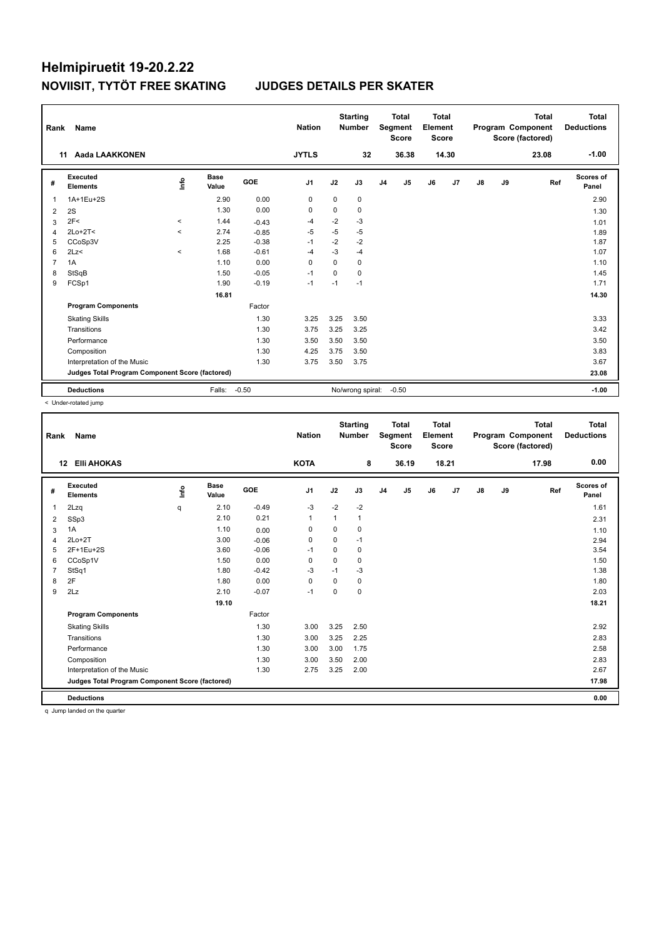| Rank           | Name                                            |         |                      |         | <b>Nation</b>  |          | <b>Starting</b><br><b>Number</b> |                | <b>Total</b><br>Segment<br><b>Score</b> | Total<br>Element<br><b>Score</b> |                |               |    | <b>Total</b><br>Program Component<br>Score (factored) | Total<br><b>Deductions</b> |
|----------------|-------------------------------------------------|---------|----------------------|---------|----------------|----------|----------------------------------|----------------|-----------------------------------------|----------------------------------|----------------|---------------|----|-------------------------------------------------------|----------------------------|
|                | Aada LAAKKONEN<br>11                            |         |                      |         | <b>JYTLS</b>   |          | 32                               |                | 36.38                                   |                                  | 14.30          |               |    | 23.08                                                 | $-1.00$                    |
| #              | Executed<br><b>Elements</b>                     | ۴       | <b>Base</b><br>Value | GOE     | J <sub>1</sub> | J2       | J3                               | J <sub>4</sub> | J <sub>5</sub>                          | J6                               | J <sub>7</sub> | $\mathsf{J}8$ | J9 | Ref                                                   | <b>Scores of</b><br>Panel  |
| $\overline{1}$ | 1A+1Eu+2S                                       |         | 2.90                 | 0.00    | 0              | 0        | 0                                |                |                                         |                                  |                |               |    |                                                       | 2.90                       |
| 2              | 2S                                              |         | 1.30                 | 0.00    | 0              | $\Omega$ | 0                                |                |                                         |                                  |                |               |    |                                                       | 1.30                       |
| 3              | 2F<                                             | $\prec$ | 1.44                 | $-0.43$ | $-4$           | $-2$     | $-3$                             |                |                                         |                                  |                |               |    |                                                       | 1.01                       |
| $\overline{4}$ | $2Lo+2T<$                                       | $\prec$ | 2.74                 | $-0.85$ | $-5$           | $-5$     | $-5$                             |                |                                         |                                  |                |               |    |                                                       | 1.89                       |
| 5              | CCoSp3V                                         |         | 2.25                 | $-0.38$ | $-1$           | $-2$     | $-2$                             |                |                                         |                                  |                |               |    |                                                       | 1.87                       |
| 6              | 2Lz<                                            | $\prec$ | 1.68                 | $-0.61$ | $-4$           | $-3$     | $-4$                             |                |                                         |                                  |                |               |    |                                                       | 1.07                       |
| $\overline{7}$ | 1A                                              |         | 1.10                 | 0.00    | $\Omega$       | $\Omega$ | 0                                |                |                                         |                                  |                |               |    |                                                       | 1.10                       |
| 8              | StSqB                                           |         | 1.50                 | $-0.05$ | $-1$           | 0        | 0                                |                |                                         |                                  |                |               |    |                                                       | 1.45                       |
| 9              | FCSp1                                           |         | 1.90                 | $-0.19$ | $-1$           | $-1$     | $-1$                             |                |                                         |                                  |                |               |    |                                                       | 1.71                       |
|                |                                                 |         | 16.81                |         |                |          |                                  |                |                                         |                                  |                |               |    |                                                       | 14.30                      |
|                | <b>Program Components</b>                       |         |                      | Factor  |                |          |                                  |                |                                         |                                  |                |               |    |                                                       |                            |
|                | <b>Skating Skills</b>                           |         |                      | 1.30    | 3.25           | 3.25     | 3.50                             |                |                                         |                                  |                |               |    |                                                       | 3.33                       |
|                | Transitions                                     |         |                      | 1.30    | 3.75           | 3.25     | 3.25                             |                |                                         |                                  |                |               |    |                                                       | 3.42                       |
|                | Performance                                     |         |                      | 1.30    | 3.50           | 3.50     | 3.50                             |                |                                         |                                  |                |               |    |                                                       | 3.50                       |
|                | Composition                                     |         |                      | 1.30    | 4.25           | 3.75     | 3.50                             |                |                                         |                                  |                |               |    |                                                       | 3.83                       |
|                | Interpretation of the Music                     |         |                      | 1.30    | 3.75           | 3.50     | 3.75                             |                |                                         |                                  |                |               |    |                                                       | 3.67                       |
|                | Judges Total Program Component Score (factored) |         |                      |         |                |          |                                  |                |                                         |                                  |                |               |    |                                                       | 23.08                      |
|                | <b>Deductions</b>                               |         | Falls:               | $-0.50$ |                |          | No/wrong spiral:                 |                | $-0.50$                                 |                                  |                |               |    |                                                       | $-1.00$                    |

< Under-rotated jump

| Rank           | Name                                            |       |                      |            | <b>Nation</b>  |              | <b>Starting</b><br><b>Number</b> |                | <b>Total</b><br>Segment<br><b>Score</b> | Total<br>Element<br><b>Score</b> |                |               |    | <b>Total</b><br>Program Component<br>Score (factored) | Total<br><b>Deductions</b> |
|----------------|-------------------------------------------------|-------|----------------------|------------|----------------|--------------|----------------------------------|----------------|-----------------------------------------|----------------------------------|----------------|---------------|----|-------------------------------------------------------|----------------------------|
|                | <b>EIII AHOKAS</b><br>12                        |       |                      |            | <b>KOTA</b>    |              | 8                                |                | 36.19                                   |                                  | 18.21          |               |    | 17.98                                                 | 0.00                       |
| #              | Executed<br><b>Elements</b>                     | Linfo | <b>Base</b><br>Value | <b>GOE</b> | J <sub>1</sub> | J2           | J3                               | J <sub>4</sub> | J5                                      | J6                               | J <sub>7</sub> | $\mathsf{J}8$ | J9 | Ref                                                   | <b>Scores of</b><br>Panel  |
|                | 2Lzq                                            | q     | 2.10                 | $-0.49$    | $-3$           | $-2$         | $-2$                             |                |                                         |                                  |                |               |    |                                                       | 1.61                       |
| 2              | SSp3                                            |       | 2.10                 | 0.21       | $\mathbf{1}$   | $\mathbf{1}$ | $\mathbf{1}$                     |                |                                         |                                  |                |               |    |                                                       | 2.31                       |
| 3              | 1A                                              |       | 1.10                 | 0.00       | 0              | 0            | 0                                |                |                                         |                                  |                |               |    |                                                       | 1.10                       |
| 4              | $2Lo+2T$                                        |       | 3.00                 | $-0.06$    | 0              | $\mathbf 0$  | $-1$                             |                |                                         |                                  |                |               |    |                                                       | 2.94                       |
| 5              | 2F+1Eu+2S                                       |       | 3.60                 | $-0.06$    | $-1$           | $\mathbf 0$  | $\mathbf 0$                      |                |                                         |                                  |                |               |    |                                                       | 3.54                       |
| 6              | CCoSp1V                                         |       | 1.50                 | 0.00       | $\Omega$       | 0            | 0                                |                |                                         |                                  |                |               |    |                                                       | 1.50                       |
| $\overline{7}$ | StSq1                                           |       | 1.80                 | $-0.42$    | $-3$           | $-1$         | $-3$                             |                |                                         |                                  |                |               |    |                                                       | 1.38                       |
| 8              | 2F                                              |       | 1.80                 | 0.00       | 0              | $\mathbf 0$  | 0                                |                |                                         |                                  |                |               |    |                                                       | 1.80                       |
| 9              | 2Lz                                             |       | 2.10                 | $-0.07$    | $-1$           | 0            | $\mathbf 0$                      |                |                                         |                                  |                |               |    |                                                       | 2.03                       |
|                |                                                 |       | 19.10                |            |                |              |                                  |                |                                         |                                  |                |               |    |                                                       | 18.21                      |
|                | <b>Program Components</b>                       |       |                      | Factor     |                |              |                                  |                |                                         |                                  |                |               |    |                                                       |                            |
|                | <b>Skating Skills</b>                           |       |                      | 1.30       | 3.00           | 3.25         | 2.50                             |                |                                         |                                  |                |               |    |                                                       | 2.92                       |
|                | Transitions                                     |       |                      | 1.30       | 3.00           | 3.25         | 2.25                             |                |                                         |                                  |                |               |    |                                                       | 2.83                       |
|                | Performance                                     |       |                      | 1.30       | 3.00           | 3.00         | 1.75                             |                |                                         |                                  |                |               |    |                                                       | 2.58                       |
|                | Composition                                     |       |                      | 1.30       | 3.00           | 3.50         | 2.00                             |                |                                         |                                  |                |               |    |                                                       | 2.83                       |
|                | Interpretation of the Music                     |       |                      | 1.30       | 2.75           | 3.25         | 2.00                             |                |                                         |                                  |                |               |    |                                                       | 2.67                       |
|                | Judges Total Program Component Score (factored) |       |                      |            |                |              |                                  |                |                                         |                                  |                |               |    |                                                       | 17.98                      |
|                | <b>Deductions</b>                               |       |                      |            |                |              |                                  |                |                                         |                                  |                |               |    |                                                       | 0.00                       |
|                | a transportanted and the errorism               |       |                      |            |                |              |                                  |                |                                         |                                  |                |               |    |                                                       |                            |

q Jump landed on the quarter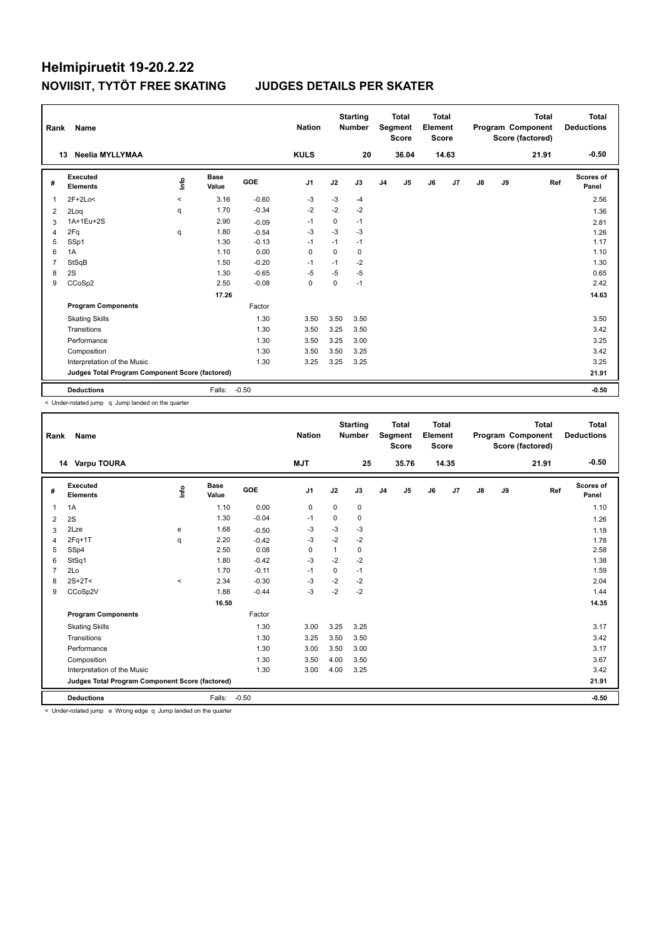| Rank           | Name                                            |         |                      |         | <b>Nation</b>  |          | <b>Starting</b><br><b>Number</b> |                | <b>Total</b><br>Segment<br><b>Score</b> | <b>Total</b><br>Element<br><b>Score</b> |                |               |    | <b>Total</b><br>Program Component<br>Score (factored) | Total<br><b>Deductions</b> |
|----------------|-------------------------------------------------|---------|----------------------|---------|----------------|----------|----------------------------------|----------------|-----------------------------------------|-----------------------------------------|----------------|---------------|----|-------------------------------------------------------|----------------------------|
|                | Neelia MYLLYMAA<br>13                           |         |                      |         | <b>KULS</b>    |          | 20                               |                | 36.04                                   |                                         | 14.63          |               |    | 21.91                                                 | $-0.50$                    |
| #              | Executed<br><b>Elements</b>                     | ١nfo    | <b>Base</b><br>Value | GOE     | J <sub>1</sub> | J2       | J3                               | J <sub>4</sub> | J5                                      | J6                                      | J <sub>7</sub> | $\mathsf{J}8$ | J9 | Ref                                                   | <b>Scores of</b><br>Panel  |
| $\overline{1}$ | $2F+2Lo<$                                       | $\prec$ | 3.16                 | $-0.60$ | -3             | -3       | $-4$                             |                |                                         |                                         |                |               |    |                                                       | 2.56                       |
| 2              | 2Log                                            | q       | 1.70                 | $-0.34$ | $-2$           | $-2$     | $-2$                             |                |                                         |                                         |                |               |    |                                                       | 1.36                       |
| 3              | 1A+1Eu+2S                                       |         | 2.90                 | $-0.09$ | $-1$           | 0        | $-1$                             |                |                                         |                                         |                |               |    |                                                       | 2.81                       |
| $\overline{4}$ | 2Fq                                             | q       | 1.80                 | $-0.54$ | $-3$           | $-3$     | $-3$                             |                |                                         |                                         |                |               |    |                                                       | 1.26                       |
| 5              | SSp1                                            |         | 1.30                 | $-0.13$ | $-1$           | $-1$     | $-1$                             |                |                                         |                                         |                |               |    |                                                       | 1.17                       |
| 6              | 1A                                              |         | 1.10                 | 0.00    | 0              | $\Omega$ | 0                                |                |                                         |                                         |                |               |    |                                                       | 1.10                       |
| $\overline{7}$ | StSqB                                           |         | 1.50                 | $-0.20$ | $-1$           | $-1$     | $-2$                             |                |                                         |                                         |                |               |    |                                                       | 1.30                       |
| 8              | 2S                                              |         | 1.30                 | $-0.65$ | $-5$           | $-5$     | $-5$                             |                |                                         |                                         |                |               |    |                                                       | 0.65                       |
| 9              | CCoSp2                                          |         | 2.50                 | $-0.08$ | 0              | 0        | $-1$                             |                |                                         |                                         |                |               |    |                                                       | 2.42                       |
|                |                                                 |         | 17.26                |         |                |          |                                  |                |                                         |                                         |                |               |    |                                                       | 14.63                      |
|                | <b>Program Components</b>                       |         |                      | Factor  |                |          |                                  |                |                                         |                                         |                |               |    |                                                       |                            |
|                | <b>Skating Skills</b>                           |         |                      | 1.30    | 3.50           | 3.50     | 3.50                             |                |                                         |                                         |                |               |    |                                                       | 3.50                       |
|                | Transitions                                     |         |                      | 1.30    | 3.50           | 3.25     | 3.50                             |                |                                         |                                         |                |               |    |                                                       | 3.42                       |
|                | Performance                                     |         |                      | 1.30    | 3.50           | 3.25     | 3.00                             |                |                                         |                                         |                |               |    |                                                       | 3.25                       |
|                | Composition                                     |         |                      | 1.30    | 3.50           | 3.50     | 3.25                             |                |                                         |                                         |                |               |    |                                                       | 3.42                       |
|                | Interpretation of the Music                     |         |                      | 1.30    | 3.25           | 3.25     | 3.25                             |                |                                         |                                         |                |               |    |                                                       | 3.25                       |
|                | Judges Total Program Component Score (factored) |         |                      |         |                |          |                                  |                |                                         |                                         |                |               |    |                                                       | 21.91                      |
|                | <b>Deductions</b>                               |         | Falls:               | $-0.50$ |                |          |                                  |                |                                         |                                         |                |               |    |                                                       | $-0.50$                    |

< Under-rotated jump q Jump landed on the quarter

| Rank           | Name                                            |         |                      |         | <b>Nation</b> |             | <b>Starting</b><br><b>Number</b> |                | <b>Total</b><br>Segment<br><b>Score</b> | <b>Total</b><br>Element<br><b>Score</b> |       |               |    | <b>Total</b><br>Program Component<br>Score (factored) | <b>Total</b><br><b>Deductions</b> |
|----------------|-------------------------------------------------|---------|----------------------|---------|---------------|-------------|----------------------------------|----------------|-----------------------------------------|-----------------------------------------|-------|---------------|----|-------------------------------------------------------|-----------------------------------|
|                | Varpu TOURA<br>14                               |         |                      |         | <b>MJT</b>    |             | 25                               |                | 35.76                                   |                                         | 14.35 |               |    | 21.91                                                 | $-0.50$                           |
| #              | <b>Executed</b><br><b>Elements</b>              | lnfo    | <b>Base</b><br>Value | GOE     | J1            | J2          | J3                               | J <sub>4</sub> | J5                                      | J6                                      | J7    | $\mathsf{J}8$ | J9 | Ref                                                   | <b>Scores of</b><br>Panel         |
| 1              | 1A                                              |         | 1.10                 | 0.00    | $\mathbf 0$   | $\mathbf 0$ | 0                                |                |                                         |                                         |       |               |    |                                                       | 1.10                              |
| $\overline{2}$ | 2S                                              |         | 1.30                 | $-0.04$ | $-1$          | 0           | 0                                |                |                                         |                                         |       |               |    |                                                       | 1.26                              |
| 3              | 2Lze                                            | e       | 1.68                 | $-0.50$ | -3            | $-3$        | $-3$                             |                |                                         |                                         |       |               |    |                                                       | 1.18                              |
| 4              | $2Fq+1T$                                        | q       | 2.20                 | $-0.42$ | $-3$          | $-2$        | $-2$                             |                |                                         |                                         |       |               |    |                                                       | 1.78                              |
| 5              | SSp4                                            |         | 2.50                 | 0.08    | 0             |             | 0                                |                |                                         |                                         |       |               |    |                                                       | 2.58                              |
| 6              | StSq1                                           |         | 1.80                 | $-0.42$ | $-3$          | $-2$        | $-2$                             |                |                                         |                                         |       |               |    |                                                       | 1.38                              |
| $\overline{7}$ | 2Lo                                             |         | 1.70                 | $-0.11$ | $-1$          | $\mathbf 0$ | $-1$                             |                |                                         |                                         |       |               |    |                                                       | 1.59                              |
| 8              | $2S+2T2$                                        | $\prec$ | 2.34                 | $-0.30$ | $-3$          | $-2$        | $-2$                             |                |                                         |                                         |       |               |    |                                                       | 2.04                              |
| 9              | CCoSp2V                                         |         | 1.88                 | $-0.44$ | -3            | $-2$        | $-2$                             |                |                                         |                                         |       |               |    |                                                       | 1.44                              |
|                |                                                 |         | 16.50                |         |               |             |                                  |                |                                         |                                         |       |               |    |                                                       | 14.35                             |
|                | <b>Program Components</b>                       |         |                      | Factor  |               |             |                                  |                |                                         |                                         |       |               |    |                                                       |                                   |
|                | <b>Skating Skills</b>                           |         |                      | 1.30    | 3.00          | 3.25        | 3.25                             |                |                                         |                                         |       |               |    |                                                       | 3.17                              |
|                | Transitions                                     |         |                      | 1.30    | 3.25          | 3.50        | 3.50                             |                |                                         |                                         |       |               |    |                                                       | 3.42                              |
|                | Performance                                     |         |                      | 1.30    | 3.00          | 3.50        | 3.00                             |                |                                         |                                         |       |               |    |                                                       | 3.17                              |
|                | Composition                                     |         |                      | 1.30    | 3.50          | 4.00        | 3.50                             |                |                                         |                                         |       |               |    |                                                       | 3.67                              |
|                | Interpretation of the Music                     |         |                      | 1.30    | 3.00          | 4.00        | 3.25                             |                |                                         |                                         |       |               |    |                                                       | 3.42                              |
|                | Judges Total Program Component Score (factored) |         |                      |         |               |             |                                  |                |                                         |                                         |       |               |    |                                                       | 21.91                             |
|                | <b>Deductions</b>                               |         | Falls:               | $-0.50$ |               |             |                                  |                |                                         |                                         |       |               |    |                                                       | $-0.50$                           |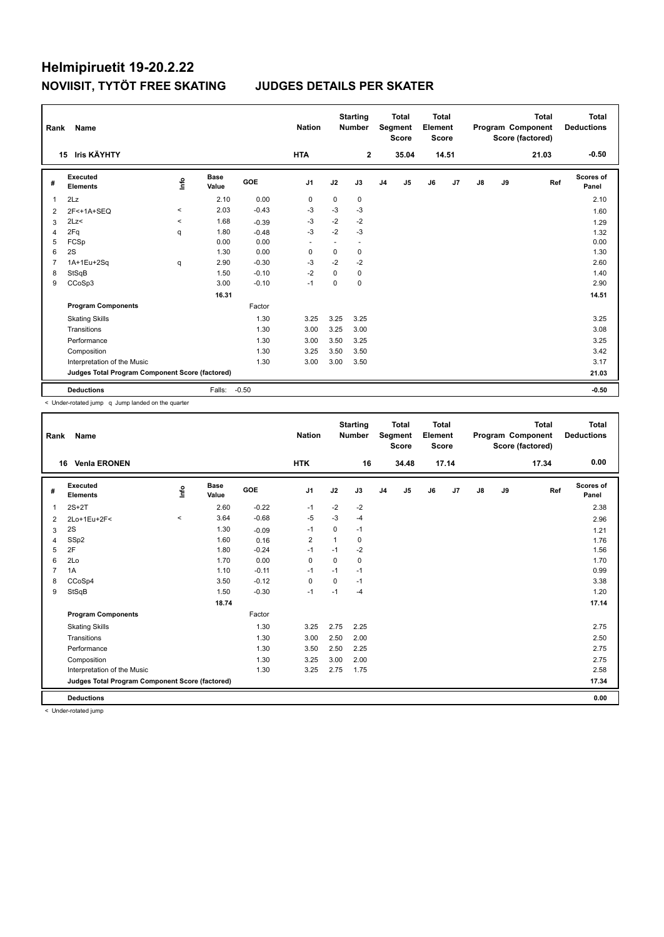| Rank           | Name                                            |                                  |                      |         | <b>Nation</b>  |             | <b>Starting</b><br><b>Number</b> |                | <b>Total</b><br>Segment<br><b>Score</b> | Total<br>Element<br><b>Score</b> |       |               |    | <b>Total</b><br>Program Component<br>Score (factored) | Total<br><b>Deductions</b> |
|----------------|-------------------------------------------------|----------------------------------|----------------------|---------|----------------|-------------|----------------------------------|----------------|-----------------------------------------|----------------------------------|-------|---------------|----|-------------------------------------------------------|----------------------------|
|                | Iris KÄYHTY<br>15                               |                                  |                      |         | <b>HTA</b>     |             | $\mathbf{2}$                     |                | 35.04                                   |                                  | 14.51 |               |    | 21.03                                                 | $-0.50$                    |
| #              | Executed<br><b>Elements</b>                     | $\mathop{\mathsf{Int}}\nolimits$ | <b>Base</b><br>Value | GOE     | J <sub>1</sub> | J2          | J3                               | J <sub>4</sub> | J5                                      | J6                               | J7    | $\mathsf{J}8$ | J9 | Ref                                                   | <b>Scores of</b><br>Panel  |
| $\overline{1}$ | 2Lz                                             |                                  | 2.10                 | 0.00    | 0              | $\mathbf 0$ | 0                                |                |                                         |                                  |       |               |    |                                                       | 2.10                       |
| 2              | 2F<+1A+SEQ                                      | $\,<\,$                          | 2.03                 | $-0.43$ | $-3$           | $-3$        | $-3$                             |                |                                         |                                  |       |               |    |                                                       | 1.60                       |
| 3              | 2Lz                                             | $\prec$                          | 1.68                 | $-0.39$ | $-3$           | $-2$        | $-2$                             |                |                                         |                                  |       |               |    |                                                       | 1.29                       |
| 4              | 2Fq                                             | q                                | 1.80                 | $-0.48$ | $-3$           | $-2$        | $-3$                             |                |                                         |                                  |       |               |    |                                                       | 1.32                       |
| 5              | FCSp                                            |                                  | 0.00                 | 0.00    | ٠              | ٠           |                                  |                |                                         |                                  |       |               |    |                                                       | 0.00                       |
| 6              | 2S                                              |                                  | 1.30                 | 0.00    | $\mathbf 0$    | 0           | 0                                |                |                                         |                                  |       |               |    |                                                       | 1.30                       |
| $\overline{7}$ | 1A+1Eu+2Sq                                      | q                                | 2.90                 | $-0.30$ | $-3$           | $-2$        | $-2$                             |                |                                         |                                  |       |               |    |                                                       | 2.60                       |
| 8              | StSqB                                           |                                  | 1.50                 | $-0.10$ | $-2$           | 0           | 0                                |                |                                         |                                  |       |               |    |                                                       | 1.40                       |
| 9              | CCoSp3                                          |                                  | 3.00                 | $-0.10$ | $-1$           | 0           | 0                                |                |                                         |                                  |       |               |    |                                                       | 2.90                       |
|                |                                                 |                                  | 16.31                |         |                |             |                                  |                |                                         |                                  |       |               |    |                                                       | 14.51                      |
|                | <b>Program Components</b>                       |                                  |                      | Factor  |                |             |                                  |                |                                         |                                  |       |               |    |                                                       |                            |
|                | <b>Skating Skills</b>                           |                                  |                      | 1.30    | 3.25           | 3.25        | 3.25                             |                |                                         |                                  |       |               |    |                                                       | 3.25                       |
|                | Transitions                                     |                                  |                      | 1.30    | 3.00           | 3.25        | 3.00                             |                |                                         |                                  |       |               |    |                                                       | 3.08                       |
|                | Performance                                     |                                  |                      | 1.30    | 3.00           | 3.50        | 3.25                             |                |                                         |                                  |       |               |    |                                                       | 3.25                       |
|                | Composition                                     |                                  |                      | 1.30    | 3.25           | 3.50        | 3.50                             |                |                                         |                                  |       |               |    |                                                       | 3.42                       |
|                | Interpretation of the Music                     |                                  |                      | 1.30    | 3.00           | 3.00        | 3.50                             |                |                                         |                                  |       |               |    |                                                       | 3.17                       |
|                | Judges Total Program Component Score (factored) |                                  |                      |         |                |             |                                  |                |                                         |                                  |       |               |    |                                                       | 21.03                      |
|                | <b>Deductions</b>                               |                                  | Falls:               | $-0.50$ |                |             |                                  |                |                                         |                                  |       |               |    |                                                       | $-0.50$                    |

< Under-rotated jump q Jump landed on the quarter

| Rank           | Name                                            |          |                      |         | <b>Nation</b>  |          | <b>Starting</b><br><b>Number</b> |                | <b>Total</b><br>Segment<br><b>Score</b> | <b>Total</b><br>Element<br><b>Score</b> |       |               |    | <b>Total</b><br>Program Component<br>Score (factored) | <b>Total</b><br><b>Deductions</b> |
|----------------|-------------------------------------------------|----------|----------------------|---------|----------------|----------|----------------------------------|----------------|-----------------------------------------|-----------------------------------------|-------|---------------|----|-------------------------------------------------------|-----------------------------------|
| 16             | <b>Venla ERONEN</b>                             |          |                      |         | <b>HTK</b>     |          | 16                               |                | 34.48                                   |                                         | 17.14 |               |    | 17.34                                                 | 0.00                              |
| #              | <b>Executed</b><br><b>Elements</b>              | lnfo     | <b>Base</b><br>Value | GOE     | J <sub>1</sub> | J2       | J3                               | J <sub>4</sub> | J5                                      | J6                                      | J7    | $\mathsf{J}8$ | J9 | Ref                                                   | Scores of<br>Panel                |
| 1              | $2S+2T$                                         |          | 2.60                 | $-0.22$ | $-1$           | $-2$     | $-2$                             |                |                                         |                                         |       |               |    |                                                       | 2.38                              |
| 2              | 2Lo+1Eu+2F<                                     | $\hat{}$ | 3.64                 | $-0.68$ | $-5$           | $-3$     | $-4$                             |                |                                         |                                         |       |               |    |                                                       | 2.96                              |
| 3              | 2S                                              |          | 1.30                 | $-0.09$ | $-1$           | 0        | $-1$                             |                |                                         |                                         |       |               |    |                                                       | 1.21                              |
| 4              | SSp2                                            |          | 1.60                 | 0.16    | 2              | 1        | 0                                |                |                                         |                                         |       |               |    |                                                       | 1.76                              |
| 5              | 2F                                              |          | 1.80                 | $-0.24$ | $-1$           | $-1$     | $-2$                             |                |                                         |                                         |       |               |    |                                                       | 1.56                              |
| 6              | 2Lo                                             |          | 1.70                 | 0.00    | $\Omega$       | $\Omega$ | $\Omega$                         |                |                                         |                                         |       |               |    |                                                       | 1.70                              |
| $\overline{7}$ | 1A                                              |          | 1.10                 | $-0.11$ | $-1$           | $-1$     | $-1$                             |                |                                         |                                         |       |               |    |                                                       | 0.99                              |
| 8              | CCoSp4                                          |          | 3.50                 | $-0.12$ | $\mathbf 0$    | $\Omega$ | $-1$                             |                |                                         |                                         |       |               |    |                                                       | 3.38                              |
| 9              | StSqB                                           |          | 1.50                 | $-0.30$ | $-1$           | $-1$     | $-4$                             |                |                                         |                                         |       |               |    |                                                       | 1.20                              |
|                |                                                 |          | 18.74                |         |                |          |                                  |                |                                         |                                         |       |               |    |                                                       | 17.14                             |
|                | <b>Program Components</b>                       |          |                      | Factor  |                |          |                                  |                |                                         |                                         |       |               |    |                                                       |                                   |
|                | <b>Skating Skills</b>                           |          |                      | 1.30    | 3.25           | 2.75     | 2.25                             |                |                                         |                                         |       |               |    |                                                       | 2.75                              |
|                | Transitions                                     |          |                      | 1.30    | 3.00           | 2.50     | 2.00                             |                |                                         |                                         |       |               |    |                                                       | 2.50                              |
|                | Performance                                     |          |                      | 1.30    | 3.50           | 2.50     | 2.25                             |                |                                         |                                         |       |               |    |                                                       | 2.75                              |
|                | Composition                                     |          |                      | 1.30    | 3.25           | 3.00     | 2.00                             |                |                                         |                                         |       |               |    |                                                       | 2.75                              |
|                | Interpretation of the Music                     |          |                      | 1.30    | 3.25           | 2.75     | 1.75                             |                |                                         |                                         |       |               |    |                                                       | 2.58                              |
|                | Judges Total Program Component Score (factored) |          |                      |         |                |          |                                  |                |                                         |                                         |       |               |    |                                                       | 17.34                             |
|                | <b>Deductions</b>                               |          |                      |         |                |          |                                  |                |                                         |                                         |       |               |    |                                                       | 0.00                              |
|                |                                                 |          |                      |         |                |          |                                  |                |                                         |                                         |       |               |    |                                                       |                                   |

< Under-rotated jump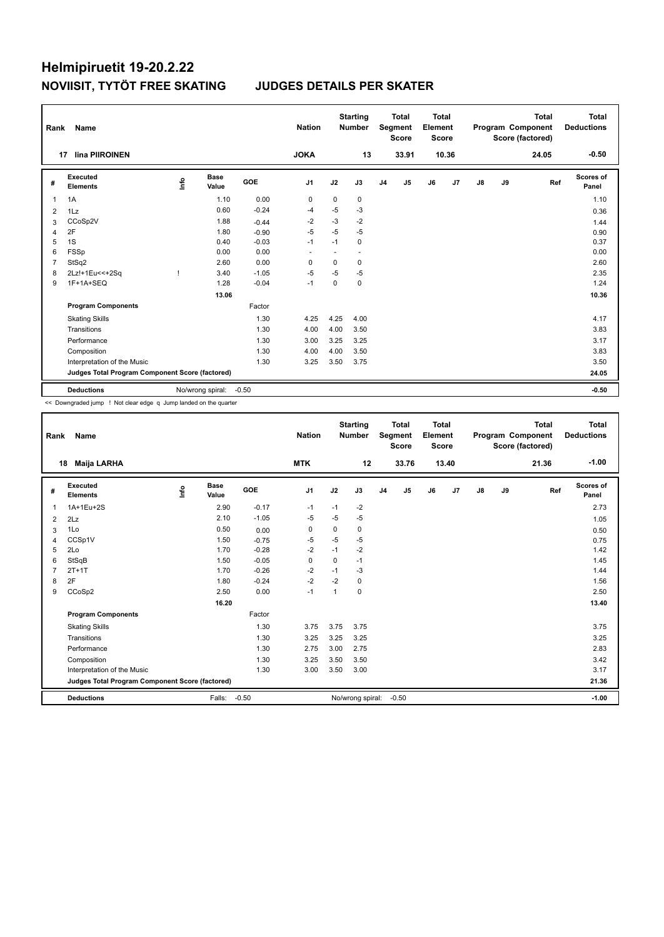| Rank           | Name                                            |      |                  |         | <b>Nation</b>            |          | <b>Starting</b><br><b>Number</b> |                | <b>Total</b><br>Segment<br><b>Score</b> | Total<br>Element<br><b>Score</b> |       |               |    | Total<br>Program Component<br>Score (factored) | <b>Total</b><br><b>Deductions</b> |
|----------------|-------------------------------------------------|------|------------------|---------|--------------------------|----------|----------------------------------|----------------|-----------------------------------------|----------------------------------|-------|---------------|----|------------------------------------------------|-----------------------------------|
|                | lina PIIROINEN<br>17                            |      |                  |         | <b>JOKA</b>              |          | 13                               |                | 33.91                                   |                                  | 10.36 |               |    | 24.05                                          | $-0.50$                           |
| #              | Executed<br><b>Elements</b>                     | lnfo | Base<br>Value    | GOE     | J <sub>1</sub>           | J2       | J3                               | J <sub>4</sub> | J5                                      | J6                               | J7    | $\mathsf{J}8$ | J9 | Ref                                            | <b>Scores of</b><br>Panel         |
| 1              | 1A                                              |      | 1.10             | 0.00    | 0                        | 0        | 0                                |                |                                         |                                  |       |               |    |                                                | 1.10                              |
| $\overline{2}$ | 1Lz                                             |      | 0.60             | $-0.24$ | $-4$                     | $-5$     | $-3$                             |                |                                         |                                  |       |               |    |                                                | 0.36                              |
| 3              | CCoSp2V                                         |      | 1.88             | $-0.44$ | $-2$                     | $-3$     | $-2$                             |                |                                         |                                  |       |               |    |                                                | 1.44                              |
| $\overline{4}$ | 2F                                              |      | 1.80             | $-0.90$ | $-5$                     | $-5$     | $-5$                             |                |                                         |                                  |       |               |    |                                                | 0.90                              |
| 5              | 1S                                              |      | 0.40             | $-0.03$ | $-1$                     | $-1$     | 0                                |                |                                         |                                  |       |               |    |                                                | 0.37                              |
| 6              | FSSp                                            |      | 0.00             | 0.00    | $\overline{\phantom{a}}$ |          | $\overline{a}$                   |                |                                         |                                  |       |               |    |                                                | 0.00                              |
| $\overline{7}$ | StSq2                                           |      | 2.60             | 0.00    | $\mathbf 0$              | 0        | 0                                |                |                                         |                                  |       |               |    |                                                | 2.60                              |
| 8              | 2Lz!+1Eu<<+2Sq                                  |      | 3.40             | $-1.05$ | -5                       | -5       | -5                               |                |                                         |                                  |       |               |    |                                                | 2.35                              |
| 9              | 1F+1A+SEQ                                       |      | 1.28             | $-0.04$ | $-1$                     | $\Omega$ | 0                                |                |                                         |                                  |       |               |    |                                                | 1.24                              |
|                |                                                 |      | 13.06            |         |                          |          |                                  |                |                                         |                                  |       |               |    |                                                | 10.36                             |
|                | <b>Program Components</b>                       |      |                  | Factor  |                          |          |                                  |                |                                         |                                  |       |               |    |                                                |                                   |
|                | <b>Skating Skills</b>                           |      |                  | 1.30    | 4.25                     | 4.25     | 4.00                             |                |                                         |                                  |       |               |    |                                                | 4.17                              |
|                | Transitions                                     |      |                  | 1.30    | 4.00                     | 4.00     | 3.50                             |                |                                         |                                  |       |               |    |                                                | 3.83                              |
|                | Performance                                     |      |                  | 1.30    | 3.00                     | 3.25     | 3.25                             |                |                                         |                                  |       |               |    |                                                | 3.17                              |
|                | Composition                                     |      |                  | 1.30    | 4.00                     | 4.00     | 3.50                             |                |                                         |                                  |       |               |    |                                                | 3.83                              |
|                | Interpretation of the Music                     |      |                  | 1.30    | 3.25                     | 3.50     | 3.75                             |                |                                         |                                  |       |               |    |                                                | 3.50                              |
|                | Judges Total Program Component Score (factored) |      |                  |         |                          |          |                                  |                |                                         |                                  |       |               |    |                                                | 24.05                             |
|                | <b>Deductions</b>                               |      | No/wrong spiral: | $-0.50$ |                          |          |                                  |                |                                         |                                  |       |               |    |                                                | $-0.50$                           |

<< Downgraded jump ! Not clear edge q Jump landed on the quarter

| Rank           | <b>Name</b>                                     |    |                      |         | <b>Nation</b> |      | <b>Starting</b><br><b>Number</b> |                | <b>Total</b><br>Segment<br><b>Score</b> | Total<br>Element<br><b>Score</b> |       |               |    | <b>Total</b><br>Program Component<br>Score (factored) | <b>Total</b><br><b>Deductions</b> |
|----------------|-------------------------------------------------|----|----------------------|---------|---------------|------|----------------------------------|----------------|-----------------------------------------|----------------------------------|-------|---------------|----|-------------------------------------------------------|-----------------------------------|
|                | <b>Maija LARHA</b><br>18                        |    |                      |         | <b>MTK</b>    |      | 12                               |                | 33.76                                   |                                  | 13.40 |               |    | 21.36                                                 | $-1.00$                           |
| #              | Executed<br><b>Elements</b>                     | ۴ô | <b>Base</b><br>Value | GOE     | J1            | J2   | J3                               | J <sub>4</sub> | J5                                      | J6                               | J7    | $\mathsf{J}8$ | J9 | Ref                                                   | <b>Scores of</b><br>Panel         |
| $\overline{1}$ | 1A+1Eu+2S                                       |    | 2.90                 | $-0.17$ | $-1$          | $-1$ | $-2$                             |                |                                         |                                  |       |               |    |                                                       | 2.73                              |
| $\overline{2}$ | 2Lz                                             |    | 2.10                 | $-1.05$ | $-5$          | $-5$ | $-5$                             |                |                                         |                                  |       |               |    |                                                       | 1.05                              |
| 3              | 1Lo                                             |    | 0.50                 | 0.00    | 0             | 0    | 0                                |                |                                         |                                  |       |               |    |                                                       | 0.50                              |
| $\overline{4}$ | CCSp1V                                          |    | 1.50                 | $-0.75$ | $-5$          | $-5$ | $-5$                             |                |                                         |                                  |       |               |    |                                                       | 0.75                              |
| 5              | 2Lo                                             |    | 1.70                 | $-0.28$ | $-2$          | $-1$ | $-2$                             |                |                                         |                                  |       |               |    |                                                       | 1.42                              |
| 6              | StSqB                                           |    | 1.50                 | $-0.05$ | 0             | 0    | $-1$                             |                |                                         |                                  |       |               |    |                                                       | 1.45                              |
| $\overline{7}$ | $2T+1T$                                         |    | 1.70                 | $-0.26$ | $-2$          | $-1$ | $-3$                             |                |                                         |                                  |       |               |    |                                                       | 1.44                              |
| 8              | 2F                                              |    | 1.80                 | $-0.24$ | $-2$          | $-2$ | 0                                |                |                                         |                                  |       |               |    |                                                       | 1.56                              |
| 9              | CCoSp2                                          |    | 2.50                 | 0.00    | $-1$          | -1   | 0                                |                |                                         |                                  |       |               |    |                                                       | 2.50                              |
|                |                                                 |    | 16.20                |         |               |      |                                  |                |                                         |                                  |       |               |    |                                                       | 13.40                             |
|                | <b>Program Components</b>                       |    |                      | Factor  |               |      |                                  |                |                                         |                                  |       |               |    |                                                       |                                   |
|                | <b>Skating Skills</b>                           |    |                      | 1.30    | 3.75          | 3.75 | 3.75                             |                |                                         |                                  |       |               |    |                                                       | 3.75                              |
|                | Transitions                                     |    |                      | 1.30    | 3.25          | 3.25 | 3.25                             |                |                                         |                                  |       |               |    |                                                       | 3.25                              |
|                | Performance                                     |    |                      | 1.30    | 2.75          | 3.00 | 2.75                             |                |                                         |                                  |       |               |    |                                                       | 2.83                              |
|                | Composition                                     |    |                      | 1.30    | 3.25          | 3.50 | 3.50                             |                |                                         |                                  |       |               |    |                                                       | 3.42                              |
|                | Interpretation of the Music                     |    |                      | 1.30    | 3.00          | 3.50 | 3.00                             |                |                                         |                                  |       |               |    |                                                       | 3.17                              |
|                | Judges Total Program Component Score (factored) |    |                      |         |               |      |                                  |                |                                         |                                  |       |               |    |                                                       | 21.36                             |
|                | <b>Deductions</b>                               |    | Falls:               | $-0.50$ |               |      | No/wrong spiral:                 |                | $-0.50$                                 |                                  |       |               |    |                                                       | $-1.00$                           |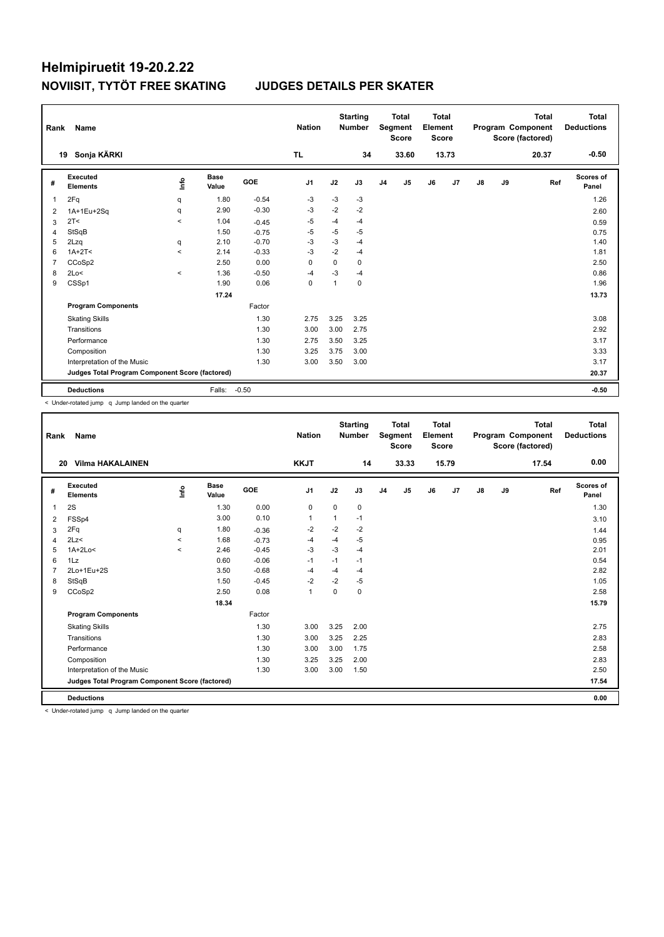| Rank           | Name                                            |                                  |                      |         | <b>Nation</b>  |      | <b>Starting</b><br><b>Number</b> |                | <b>Total</b><br>Segment<br><b>Score</b> | Total<br>Element<br><b>Score</b> |       |               |    | <b>Total</b><br>Program Component<br>Score (factored) | Total<br><b>Deductions</b> |
|----------------|-------------------------------------------------|----------------------------------|----------------------|---------|----------------|------|----------------------------------|----------------|-----------------------------------------|----------------------------------|-------|---------------|----|-------------------------------------------------------|----------------------------|
|                | Sonja KÄRKI<br>19                               |                                  |                      |         | <b>TL</b>      |      | 34                               |                | 33.60                                   |                                  | 13.73 |               |    | 20.37                                                 | $-0.50$                    |
| #              | Executed<br><b>Elements</b>                     | $\mathop{\mathsf{Int}}\nolimits$ | <b>Base</b><br>Value | GOE     | J <sub>1</sub> | J2   | J3                               | J <sub>4</sub> | J5                                      | J6                               | J7    | $\mathsf{J}8$ | J9 | Ref                                                   | <b>Scores of</b><br>Panel  |
| $\overline{1}$ | 2Fq                                             | q                                | 1.80                 | $-0.54$ | $-3$           | $-3$ | $-3$                             |                |                                         |                                  |       |               |    |                                                       | 1.26                       |
| 2              | 1A+1Eu+2Sq                                      | q                                | 2.90                 | $-0.30$ | -3             | $-2$ | $-2$                             |                |                                         |                                  |       |               |    |                                                       | 2.60                       |
| 3              | 2T <                                            | $\prec$                          | 1.04                 | $-0.45$ | -5             | $-4$ | $-4$                             |                |                                         |                                  |       |               |    |                                                       | 0.59                       |
| 4              | StSqB                                           |                                  | 1.50                 | $-0.75$ | $-5$           | $-5$ | $-5$                             |                |                                         |                                  |       |               |    |                                                       | 0.75                       |
| 5              | 2Lzq                                            | q                                | 2.10                 | $-0.70$ | $-3$           | $-3$ | $-4$                             |                |                                         |                                  |       |               |    |                                                       | 1.40                       |
| 6              | $1A+2T2$                                        | $\prec$                          | 2.14                 | $-0.33$ | $-3$           | $-2$ | $-4$                             |                |                                         |                                  |       |               |    |                                                       | 1.81                       |
| $\overline{7}$ | CCoSp2                                          |                                  | 2.50                 | 0.00    | $\mathbf 0$    | 0    | 0                                |                |                                         |                                  |       |               |    |                                                       | 2.50                       |
| 8              | 2Lo<                                            | $\hat{}$                         | 1.36                 | $-0.50$ | -4             | $-3$ | $-4$                             |                |                                         |                                  |       |               |    |                                                       | 0.86                       |
| 9              | CSSp1                                           |                                  | 1.90                 | 0.06    | $\mathbf 0$    | 1    | 0                                |                |                                         |                                  |       |               |    |                                                       | 1.96                       |
|                |                                                 |                                  | 17.24                |         |                |      |                                  |                |                                         |                                  |       |               |    |                                                       | 13.73                      |
|                | <b>Program Components</b>                       |                                  |                      | Factor  |                |      |                                  |                |                                         |                                  |       |               |    |                                                       |                            |
|                | <b>Skating Skills</b>                           |                                  |                      | 1.30    | 2.75           | 3.25 | 3.25                             |                |                                         |                                  |       |               |    |                                                       | 3.08                       |
|                | Transitions                                     |                                  |                      | 1.30    | 3.00           | 3.00 | 2.75                             |                |                                         |                                  |       |               |    |                                                       | 2.92                       |
|                | Performance                                     |                                  |                      | 1.30    | 2.75           | 3.50 | 3.25                             |                |                                         |                                  |       |               |    |                                                       | 3.17                       |
|                | Composition                                     |                                  |                      | 1.30    | 3.25           | 3.75 | 3.00                             |                |                                         |                                  |       |               |    |                                                       | 3.33                       |
|                | Interpretation of the Music                     |                                  |                      | 1.30    | 3.00           | 3.50 | 3.00                             |                |                                         |                                  |       |               |    |                                                       | 3.17                       |
|                | Judges Total Program Component Score (factored) |                                  |                      |         |                |      |                                  |                |                                         |                                  |       |               |    |                                                       | 20.37                      |
|                | <b>Deductions</b>                               |                                  | Falls:               | $-0.50$ |                |      |                                  |                |                                         |                                  |       |               |    |                                                       | $-0.50$                    |

< Under-rotated jump q Jump landed on the quarter

| Rank           | Name                                            |            |                      |         | <b>Nation</b>  |             | <b>Starting</b><br><b>Number</b> |                | <b>Total</b><br>Segment<br><b>Score</b> | Total<br>Element<br><b>Score</b> |                |    |    | <b>Total</b><br>Program Component<br>Score (factored) | <b>Total</b><br><b>Deductions</b> |
|----------------|-------------------------------------------------|------------|----------------------|---------|----------------|-------------|----------------------------------|----------------|-----------------------------------------|----------------------------------|----------------|----|----|-------------------------------------------------------|-----------------------------------|
|                | <b>Vilma HAKALAINEN</b><br>20                   |            |                      |         | <b>KKJT</b>    |             | 14                               |                | 33.33                                   |                                  | 15.79          |    |    | 17.54                                                 | 0.00                              |
| #              | Executed<br><b>Elements</b>                     | <b>Lin</b> | <b>Base</b><br>Value | GOE     | J <sub>1</sub> | J2          | J3                               | J <sub>4</sub> | J5                                      | J6                               | J <sub>7</sub> | J8 | J9 | Ref                                                   | <b>Scores of</b><br>Panel         |
| 1              | 2S                                              |            | 1.30                 | 0.00    | $\mathbf 0$    | $\mathbf 0$ | $\pmb{0}$                        |                |                                         |                                  |                |    |    |                                                       | 1.30                              |
| 2              | FSSp4                                           |            | 3.00                 | 0.10    | $\mathbf{1}$   | 1           | $-1$                             |                |                                         |                                  |                |    |    |                                                       | 3.10                              |
| 3              | 2Fq                                             | q          | 1.80                 | $-0.36$ | $-2$           | $-2$        | $-2$                             |                |                                         |                                  |                |    |    |                                                       | 1.44                              |
| 4              | 2Lz<                                            | $\hat{}$   | 1.68                 | $-0.73$ | $-4$           | $-4$        | $-5$                             |                |                                         |                                  |                |    |    |                                                       | 0.95                              |
| 5              | $1A+2Lo<$                                       | $\prec$    | 2.46                 | $-0.45$ | $-3$           | $-3$        | $-4$                             |                |                                         |                                  |                |    |    |                                                       | 2.01                              |
| 6              | 1Lz                                             |            | 0.60                 | $-0.06$ | $-1$           | $-1$        | $-1$                             |                |                                         |                                  |                |    |    |                                                       | 0.54                              |
| $\overline{7}$ | 2Lo+1Eu+2S                                      |            | 3.50                 | $-0.68$ | $-4$           | $-4$        | $-4$                             |                |                                         |                                  |                |    |    |                                                       | 2.82                              |
| 8              | StSqB                                           |            | 1.50                 | $-0.45$ | $-2$           | $-2$        | $-5$                             |                |                                         |                                  |                |    |    |                                                       | 1.05                              |
| 9              | CCoSp2                                          |            | 2.50                 | 0.08    | $\mathbf{1}$   | $\Omega$    | 0                                |                |                                         |                                  |                |    |    |                                                       | 2.58                              |
|                |                                                 |            | 18.34                |         |                |             |                                  |                |                                         |                                  |                |    |    |                                                       | 15.79                             |
|                | <b>Program Components</b>                       |            |                      | Factor  |                |             |                                  |                |                                         |                                  |                |    |    |                                                       |                                   |
|                | <b>Skating Skills</b>                           |            |                      | 1.30    | 3.00           | 3.25        | 2.00                             |                |                                         |                                  |                |    |    |                                                       | 2.75                              |
|                | Transitions                                     |            |                      | 1.30    | 3.00           | 3.25        | 2.25                             |                |                                         |                                  |                |    |    |                                                       | 2.83                              |
|                | Performance                                     |            |                      | 1.30    | 3.00           | 3.00        | 1.75                             |                |                                         |                                  |                |    |    |                                                       | 2.58                              |
|                | Composition                                     |            |                      | 1.30    | 3.25           | 3.25        | 2.00                             |                |                                         |                                  |                |    |    |                                                       | 2.83                              |
|                | Interpretation of the Music                     |            |                      | 1.30    | 3.00           | 3.00        | 1.50                             |                |                                         |                                  |                |    |    |                                                       | 2.50                              |
|                | Judges Total Program Component Score (factored) |            |                      |         |                |             |                                  |                |                                         |                                  |                |    |    |                                                       | 17.54                             |
|                | <b>Deductions</b>                               |            |                      |         |                |             |                                  |                |                                         |                                  |                |    |    |                                                       | 0.00                              |

< Under-rotated jump q Jump landed on the quarter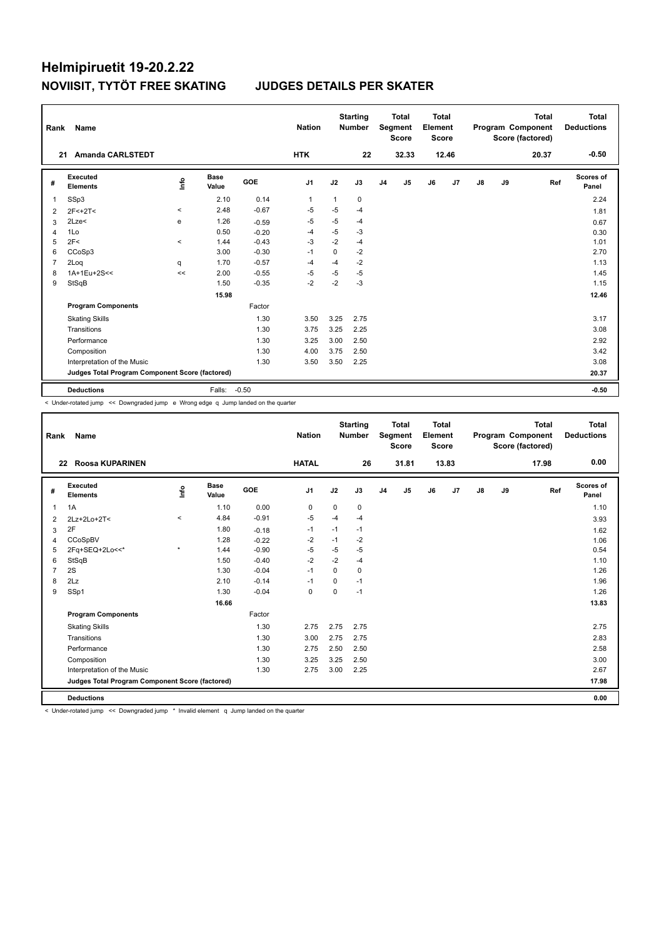| Rank           | Name                                            |                                  |                      |         | <b>Nation</b>  |      | <b>Starting</b><br><b>Number</b> |                | <b>Total</b><br>Segment<br><b>Score</b> | <b>Total</b><br>Element<br><b>Score</b> |       |               |    | Total<br>Program Component<br>Score (factored) | Total<br><b>Deductions</b> |
|----------------|-------------------------------------------------|----------------------------------|----------------------|---------|----------------|------|----------------------------------|----------------|-----------------------------------------|-----------------------------------------|-------|---------------|----|------------------------------------------------|----------------------------|
|                | <b>Amanda CARLSTEDT</b><br>21                   |                                  |                      |         | <b>HTK</b>     |      | 22                               |                | 32.33                                   |                                         | 12.46 |               |    | 20.37                                          | $-0.50$                    |
| #              | Executed<br><b>Elements</b>                     | $\mathop{\mathsf{Int}}\nolimits$ | <b>Base</b><br>Value | GOE     | J <sub>1</sub> | J2   | J3                               | J <sub>4</sub> | J5                                      | J6                                      | J7    | $\mathsf{J}8$ | J9 | Ref                                            | <b>Scores of</b><br>Panel  |
| $\overline{1}$ | SSp3                                            |                                  | 2.10                 | 0.14    | $\mathbf 1$    | 1    | 0                                |                |                                         |                                         |       |               |    |                                                | 2.24                       |
| 2              | $2F<+2T<$                                       | $\hat{}$                         | 2.48                 | $-0.67$ | $-5$           | $-5$ | $-4$                             |                |                                         |                                         |       |               |    |                                                | 1.81                       |
| 3              | 2Lze<                                           | e                                | 1.26                 | $-0.59$ | $-5$           | $-5$ | $-4$                             |                |                                         |                                         |       |               |    |                                                | 0.67                       |
| 4              | 1Lo                                             |                                  | 0.50                 | $-0.20$ | $-4$           | $-5$ | $-3$                             |                |                                         |                                         |       |               |    |                                                | 0.30                       |
| 5              | 2F<                                             | $\hat{}$                         | 1.44                 | $-0.43$ | -3             | $-2$ | $-4$                             |                |                                         |                                         |       |               |    |                                                | 1.01                       |
| 6              | CCoSp3                                          |                                  | 3.00                 | $-0.30$ | $-1$           | 0    | $-2$                             |                |                                         |                                         |       |               |    |                                                | 2.70                       |
| $\overline{7}$ | 2Log                                            | q                                | 1.70                 | $-0.57$ | $-4$           | $-4$ | $-2$                             |                |                                         |                                         |       |               |    |                                                | 1.13                       |
| 8              | 1A+1Eu+2S<<                                     | <<                               | 2.00                 | $-0.55$ | $-5$           | $-5$ | $-5$                             |                |                                         |                                         |       |               |    |                                                | 1.45                       |
| 9              | StSqB                                           |                                  | 1.50                 | $-0.35$ | $-2$           | $-2$ | $-3$                             |                |                                         |                                         |       |               |    |                                                | 1.15                       |
|                |                                                 |                                  | 15.98                |         |                |      |                                  |                |                                         |                                         |       |               |    |                                                | 12.46                      |
|                | <b>Program Components</b>                       |                                  |                      | Factor  |                |      |                                  |                |                                         |                                         |       |               |    |                                                |                            |
|                | <b>Skating Skills</b>                           |                                  |                      | 1.30    | 3.50           | 3.25 | 2.75                             |                |                                         |                                         |       |               |    |                                                | 3.17                       |
|                | Transitions                                     |                                  |                      | 1.30    | 3.75           | 3.25 | 2.25                             |                |                                         |                                         |       |               |    |                                                | 3.08                       |
|                | Performance                                     |                                  |                      | 1.30    | 3.25           | 3.00 | 2.50                             |                |                                         |                                         |       |               |    |                                                | 2.92                       |
|                | Composition                                     |                                  |                      | 1.30    | 4.00           | 3.75 | 2.50                             |                |                                         |                                         |       |               |    |                                                | 3.42                       |
|                | Interpretation of the Music                     |                                  |                      | 1.30    | 3.50           | 3.50 | 2.25                             |                |                                         |                                         |       |               |    |                                                | 3.08                       |
|                | Judges Total Program Component Score (factored) |                                  |                      |         |                |      |                                  |                |                                         |                                         |       |               |    |                                                | 20.37                      |
|                | <b>Deductions</b>                               |                                  | Falls:               | $-0.50$ |                |      |                                  |                |                                         |                                         |       |               |    |                                                | $-0.50$                    |

< Under-rotated jump << Downgraded jump e Wrong edge q Jump landed on the quarter

| Rank           | Name                                            |          |                      |         | <b>Nation</b>  |             | <b>Starting</b><br><b>Number</b> |                | <b>Total</b><br>Segment<br><b>Score</b> | Total<br>Element<br><b>Score</b> |       |               |    | <b>Total</b><br>Program Component<br>Score (factored) | <b>Total</b><br><b>Deductions</b> |
|----------------|-------------------------------------------------|----------|----------------------|---------|----------------|-------------|----------------------------------|----------------|-----------------------------------------|----------------------------------|-------|---------------|----|-------------------------------------------------------|-----------------------------------|
| 22             | Roosa KUPARINEN                                 |          |                      |         | <b>HATAL</b>   |             | 26                               |                | 31.81                                   |                                  | 13.83 |               |    | 17.98                                                 | 0.00                              |
| #              | <b>Executed</b><br><b>Elements</b>              | Info     | <b>Base</b><br>Value | GOE     | J <sub>1</sub> | J2          | J3                               | J <sub>4</sub> | J5                                      | J6                               | J7    | $\mathsf{J}8$ | J9 | Ref                                                   | <b>Scores of</b><br>Panel         |
| $\overline{1}$ | 1A                                              |          | 1.10                 | 0.00    | 0              | $\mathbf 0$ | 0                                |                |                                         |                                  |       |               |    |                                                       | 1.10                              |
| 2              | 2Lz+2Lo+2T<                                     | $\hat{}$ | 4.84                 | $-0.91$ | $-5$           | $-4$        | $-4$                             |                |                                         |                                  |       |               |    |                                                       | 3.93                              |
| 3              | 2F                                              |          | 1.80                 | $-0.18$ | $-1$           | $-1$        | $-1$                             |                |                                         |                                  |       |               |    |                                                       | 1.62                              |
| 4              | CCoSpBV                                         |          | 1.28                 | $-0.22$ | $-2$           | $-1$        | $-2$                             |                |                                         |                                  |       |               |    |                                                       | 1.06                              |
| 5              | 2Fq+SEQ+2Lo<<*                                  | $\star$  | 1.44                 | $-0.90$ | $-5$           | $-5$        | $-5$                             |                |                                         |                                  |       |               |    |                                                       | 0.54                              |
| 6              | StSqB                                           |          | 1.50                 | $-0.40$ | $-2$           | $-2$        | $-4$                             |                |                                         |                                  |       |               |    |                                                       | 1.10                              |
| $\overline{7}$ | 2S                                              |          | 1.30                 | $-0.04$ | $-1$           | $\mathbf 0$ | 0                                |                |                                         |                                  |       |               |    |                                                       | 1.26                              |
| 8              | 2Lz                                             |          | 2.10                 | $-0.14$ | $-1$           | 0           | $-1$                             |                |                                         |                                  |       |               |    |                                                       | 1.96                              |
| 9              | SSp1                                            |          | 1.30                 | $-0.04$ | $\Omega$       | $\Omega$    | $-1$                             |                |                                         |                                  |       |               |    |                                                       | 1.26                              |
|                |                                                 |          | 16.66                |         |                |             |                                  |                |                                         |                                  |       |               |    |                                                       | 13.83                             |
|                | <b>Program Components</b>                       |          |                      | Factor  |                |             |                                  |                |                                         |                                  |       |               |    |                                                       |                                   |
|                | <b>Skating Skills</b>                           |          |                      | 1.30    | 2.75           | 2.75        | 2.75                             |                |                                         |                                  |       |               |    |                                                       | 2.75                              |
|                | Transitions                                     |          |                      | 1.30    | 3.00           | 2.75        | 2.75                             |                |                                         |                                  |       |               |    |                                                       | 2.83                              |
|                | Performance                                     |          |                      | 1.30    | 2.75           | 2.50        | 2.50                             |                |                                         |                                  |       |               |    |                                                       | 2.58                              |
|                | Composition                                     |          |                      | 1.30    | 3.25           | 3.25        | 2.50                             |                |                                         |                                  |       |               |    |                                                       | 3.00                              |
|                | Interpretation of the Music                     |          |                      | 1.30    | 2.75           | 3.00        | 2.25                             |                |                                         |                                  |       |               |    |                                                       | 2.67                              |
|                | Judges Total Program Component Score (factored) |          |                      |         |                |             |                                  |                |                                         |                                  |       |               |    |                                                       | 17.98                             |
|                | <b>Deductions</b>                               |          |                      |         |                |             |                                  |                |                                         |                                  |       |               |    |                                                       | 0.00                              |

< Under-rotated jump << Downgraded jump \* Invalid element q Jump landed on the quarter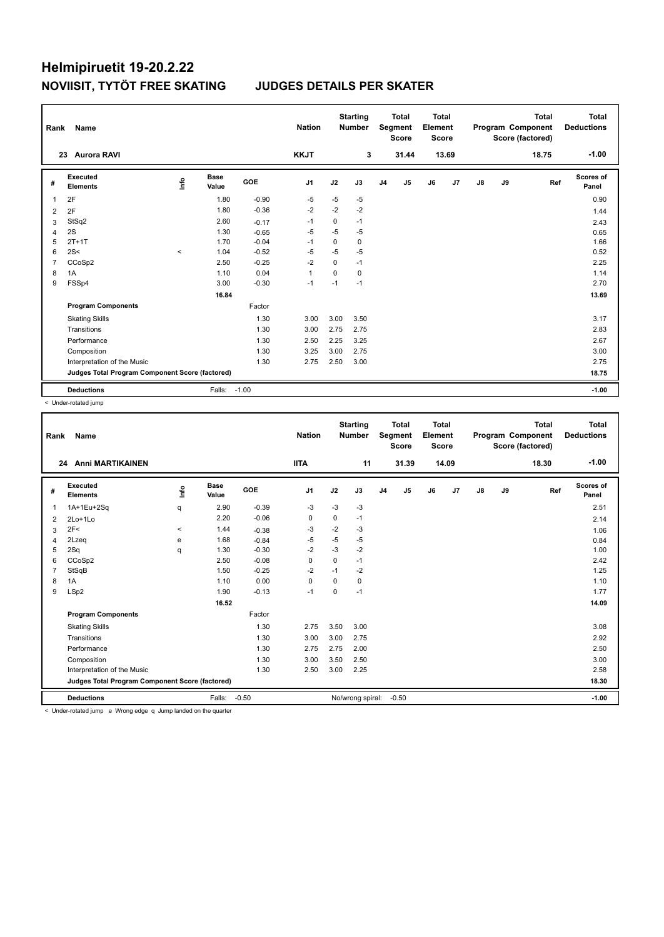| Rank           | Name                                            |          |                      |         | <b>Nation</b>  |          | <b>Starting</b><br><b>Number</b> |                | <b>Total</b><br>Segment<br><b>Score</b> | <b>Total</b><br>Element<br><b>Score</b> |                |               |    | <b>Total</b><br>Program Component<br>Score (factored) | Total<br><b>Deductions</b> |
|----------------|-------------------------------------------------|----------|----------------------|---------|----------------|----------|----------------------------------|----------------|-----------------------------------------|-----------------------------------------|----------------|---------------|----|-------------------------------------------------------|----------------------------|
|                | <b>Aurora RAVI</b><br>23                        |          |                      |         | <b>KKJT</b>    |          | 3                                |                | 31.44                                   |                                         | 13.69          |               |    | 18.75                                                 | $-1.00$                    |
| #              | <b>Executed</b><br><b>Elements</b>              | ۴ů       | <b>Base</b><br>Value | GOE     | J <sub>1</sub> | J2       | J3                               | J <sub>4</sub> | J5                                      | J6                                      | J <sub>7</sub> | $\mathsf{J}8$ | J9 | Ref                                                   | <b>Scores of</b><br>Panel  |
| $\overline{1}$ | 2F                                              |          | 1.80                 | $-0.90$ | -5             | $-5$     | $-5$                             |                |                                         |                                         |                |               |    |                                                       | 0.90                       |
| 2              | 2F                                              |          | 1.80                 | $-0.36$ | $-2$           | $-2$     | $-2$                             |                |                                         |                                         |                |               |    |                                                       | 1.44                       |
| 3              | StSq2                                           |          | 2.60                 | $-0.17$ | $-1$           | 0        | $-1$                             |                |                                         |                                         |                |               |    |                                                       | 2.43                       |
| $\overline{4}$ | 2S                                              |          | 1.30                 | $-0.65$ | $-5$           | $-5$     | $-5$                             |                |                                         |                                         |                |               |    |                                                       | 0.65                       |
| 5              | $2T+1T$                                         |          | 1.70                 | $-0.04$ | -1             | 0        | 0                                |                |                                         |                                         |                |               |    |                                                       | 1.66                       |
| 6              | 2S<                                             | $\hat{}$ | 1.04                 | $-0.52$ | $-5$           | $-5$     | $-5$                             |                |                                         |                                         |                |               |    |                                                       | 0.52                       |
| $\overline{7}$ | CCoSp2                                          |          | 2.50                 | $-0.25$ | $-2$           | $\Omega$ | $-1$                             |                |                                         |                                         |                |               |    |                                                       | 2.25                       |
| 8              | 1A                                              |          | 1.10                 | 0.04    | $\mathbf{1}$   | 0        | 0                                |                |                                         |                                         |                |               |    |                                                       | 1.14                       |
| 9              | FSSp4                                           |          | 3.00                 | $-0.30$ | $-1$           | $-1$     | $-1$                             |                |                                         |                                         |                |               |    |                                                       | 2.70                       |
|                |                                                 |          | 16.84                |         |                |          |                                  |                |                                         |                                         |                |               |    |                                                       | 13.69                      |
|                | <b>Program Components</b>                       |          |                      | Factor  |                |          |                                  |                |                                         |                                         |                |               |    |                                                       |                            |
|                | <b>Skating Skills</b>                           |          |                      | 1.30    | 3.00           | 3.00     | 3.50                             |                |                                         |                                         |                |               |    |                                                       | 3.17                       |
|                | Transitions                                     |          |                      | 1.30    | 3.00           | 2.75     | 2.75                             |                |                                         |                                         |                |               |    |                                                       | 2.83                       |
|                | Performance                                     |          |                      | 1.30    | 2.50           | 2.25     | 3.25                             |                |                                         |                                         |                |               |    |                                                       | 2.67                       |
|                | Composition                                     |          |                      | 1.30    | 3.25           | 3.00     | 2.75                             |                |                                         |                                         |                |               |    |                                                       | 3.00                       |
|                | Interpretation of the Music                     |          |                      | 1.30    | 2.75           | 2.50     | 3.00                             |                |                                         |                                         |                |               |    |                                                       | 2.75                       |
|                | Judges Total Program Component Score (factored) |          |                      |         |                |          |                                  |                |                                         |                                         |                |               |    |                                                       | 18.75                      |
|                | <b>Deductions</b>                               |          | Falls:               | $-1.00$ |                |          |                                  |                |                                         |                                         |                |               |    |                                                       | $-1.00$                    |

< Under-rotated jump

| Rank           | Name                                                                     |         |                      |         | <b>Nation</b>  |          | <b>Starting</b><br><b>Number</b> |                | <b>Total</b><br>Segment<br><b>Score</b> | <b>Total</b><br>Element<br><b>Score</b> |       |               |    | <b>Total</b><br>Program Component<br>Score (factored) | <b>Total</b><br><b>Deductions</b> |
|----------------|--------------------------------------------------------------------------|---------|----------------------|---------|----------------|----------|----------------------------------|----------------|-----------------------------------------|-----------------------------------------|-------|---------------|----|-------------------------------------------------------|-----------------------------------|
|                | 24 Anni MARTIKAINEN                                                      |         |                      |         | <b>IITA</b>    |          | 11                               |                | 31.39                                   |                                         | 14.09 |               |    | 18.30                                                 | $-1.00$                           |
| #              | <b>Executed</b><br><b>Elements</b>                                       | ۴٥      | <b>Base</b><br>Value | GOE     | J <sub>1</sub> | J2       | J3                               | J <sub>4</sub> | J5                                      | J6                                      | J7    | $\mathsf{J}8$ | J9 | Ref                                                   | <b>Scores of</b><br>Panel         |
| 1              | 1A+1Eu+2Sq                                                               | q       | 2.90                 | $-0.39$ | -3             | -3       | $-3$                             |                |                                         |                                         |       |               |    |                                                       | 2.51                              |
| 2              | 2Lo+1Lo                                                                  |         | 2.20                 | $-0.06$ | 0              | 0        | $-1$                             |                |                                         |                                         |       |               |    |                                                       | 2.14                              |
| 3              | 2F<                                                                      | $\prec$ | 1.44                 | $-0.38$ | -3             | $-2$     | -3                               |                |                                         |                                         |       |               |    |                                                       | 1.06                              |
| 4              | 2Lzeq                                                                    | e       | 1.68                 | $-0.84$ | $-5$           | $-5$     | $-5$                             |                |                                         |                                         |       |               |    |                                                       | 0.84                              |
| 5              | 2Sq                                                                      | q       | 1.30                 | $-0.30$ | $-2$           | $-3$     | $-2$                             |                |                                         |                                         |       |               |    |                                                       | 1.00                              |
| 6              | CCoSp2                                                                   |         | 2.50                 | $-0.08$ | $\Omega$       | $\Omega$ | $-1$                             |                |                                         |                                         |       |               |    |                                                       | 2.42                              |
| $\overline{7}$ | StSqB                                                                    |         | 1.50                 | $-0.25$ | $-2$           | $-1$     | $-2$                             |                |                                         |                                         |       |               |    |                                                       | 1.25                              |
| 8              | 1A                                                                       |         | 1.10                 | 0.00    | 0              | 0        | 0                                |                |                                         |                                         |       |               |    |                                                       | 1.10                              |
| 9              | LSp2                                                                     |         | 1.90                 | $-0.13$ | $-1$           | 0        | $-1$                             |                |                                         |                                         |       |               |    |                                                       | 1.77                              |
|                |                                                                          |         | 16.52                |         |                |          |                                  |                |                                         |                                         |       |               |    |                                                       | 14.09                             |
|                | <b>Program Components</b>                                                |         |                      | Factor  |                |          |                                  |                |                                         |                                         |       |               |    |                                                       |                                   |
|                | <b>Skating Skills</b>                                                    |         |                      | 1.30    | 2.75           | 3.50     | 3.00                             |                |                                         |                                         |       |               |    |                                                       | 3.08                              |
|                | Transitions                                                              |         |                      | 1.30    | 3.00           | 3.00     | 2.75                             |                |                                         |                                         |       |               |    |                                                       | 2.92                              |
|                | Performance                                                              |         |                      | 1.30    | 2.75           | 2.75     | 2.00                             |                |                                         |                                         |       |               |    |                                                       | 2.50                              |
|                | Composition                                                              |         |                      | 1.30    | 3.00           | 3.50     | 2.50                             |                |                                         |                                         |       |               |    |                                                       | 3.00                              |
|                | Interpretation of the Music                                              |         |                      | 1.30    | 2.50           | 3.00     | 2.25                             |                |                                         |                                         |       |               |    |                                                       | 2.58                              |
|                | Judges Total Program Component Score (factored)                          |         |                      |         |                |          |                                  |                |                                         |                                         |       |               |    |                                                       | 18.30                             |
|                | <b>Deductions</b>                                                        |         | Falls:               | $-0.50$ |                |          | No/wrong spiral:                 |                | $-0.50$                                 |                                         |       |               |    |                                                       | $-1.00$                           |
|                | $\epsilon$ Under-rotated jump. A Wrong adde a lump landed on the quarter |         |                      |         |                |          |                                  |                |                                         |                                         |       |               |    |                                                       |                                   |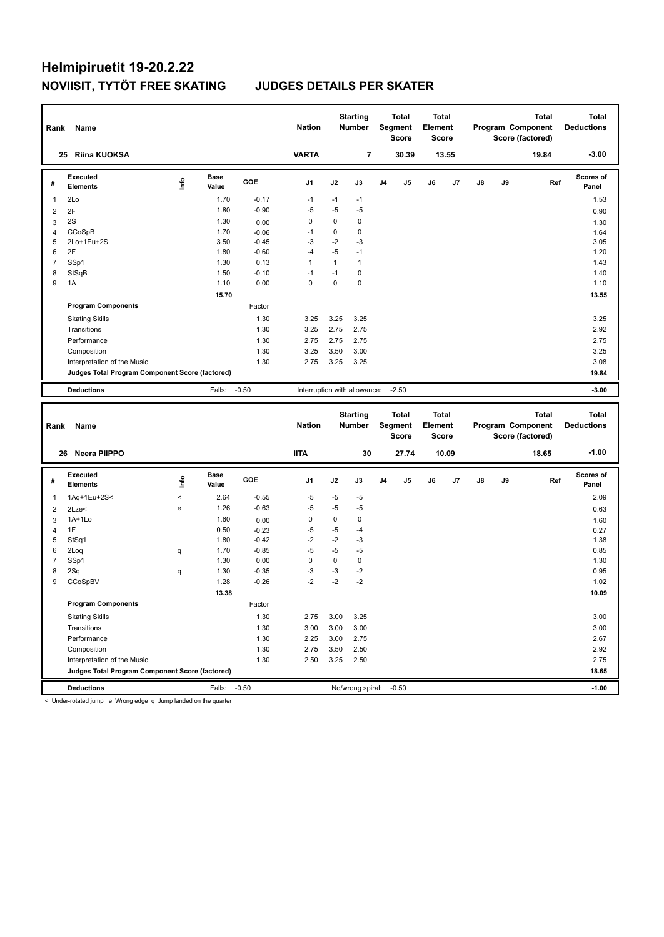| Rank           | Name                                            |   |                      |         | <b>Nation</b>                |      | <b>Starting</b><br><b>Number</b> |    | <b>Total</b><br>Segment<br><b>Score</b> | <b>Total</b><br>Element<br><b>Score</b> |       |               |    | <b>Total</b><br>Program Component<br>Score (factored) | <b>Total</b><br><b>Deductions</b> |
|----------------|-------------------------------------------------|---|----------------------|---------|------------------------------|------|----------------------------------|----|-----------------------------------------|-----------------------------------------|-------|---------------|----|-------------------------------------------------------|-----------------------------------|
|                | <b>Riina KUOKSA</b><br>25                       |   |                      |         | <b>VARTA</b>                 |      | $\overline{7}$                   |    | 30.39                                   |                                         | 13.55 |               |    | 19.84                                                 | $-3.00$                           |
| #              | Executed<br><b>Elements</b>                     | ۴ | <b>Base</b><br>Value | GOE     | J <sub>1</sub>               | J2   | J3                               | J4 | J <sub>5</sub>                          | J6                                      | J7    | $\mathsf{J}8$ | J9 | Ref                                                   | <b>Scores of</b><br>Panel         |
| -1             | 2Lo                                             |   | 1.70                 | $-0.17$ | $-1$                         | $-1$ | $-1$                             |    |                                         |                                         |       |               |    |                                                       | 1.53                              |
| $\overline{2}$ | 2F                                              |   | 1.80                 | $-0.90$ | $-5$                         | $-5$ | $-5$                             |    |                                         |                                         |       |               |    |                                                       | 0.90                              |
| 3              | 2S                                              |   | 1.30                 | 0.00    | 0                            | 0    | $\mathbf 0$                      |    |                                         |                                         |       |               |    |                                                       | 1.30                              |
| 4              | CCoSpB                                          |   | 1.70                 | $-0.06$ | $-1$                         | 0    | 0                                |    |                                         |                                         |       |               |    |                                                       | 1.64                              |
| 5              | 2Lo+1Eu+2S                                      |   | 3.50                 | $-0.45$ | $-3$                         | $-2$ | $-3$                             |    |                                         |                                         |       |               |    |                                                       | 3.05                              |
| 6              | 2F                                              |   | 1.80                 | $-0.60$ | $-4$                         | $-5$ | $-1$                             |    |                                         |                                         |       |               |    |                                                       | 1.20                              |
| $\overline{7}$ | SSp1                                            |   | 1.30                 | 0.13    | 1                            | 1    | $\mathbf{1}$                     |    |                                         |                                         |       |               |    |                                                       | 1.43                              |
| 8              | StSqB                                           |   | 1.50                 | $-0.10$ | $-1$                         | $-1$ | $\mathbf 0$                      |    |                                         |                                         |       |               |    |                                                       | 1.40                              |
| 9              | 1A                                              |   | 1.10                 | 0.00    | 0                            | 0    | $\mathbf 0$                      |    |                                         |                                         |       |               |    |                                                       | 1.10                              |
|                |                                                 |   | 15.70                |         |                              |      |                                  |    |                                         |                                         |       |               |    |                                                       | 13.55                             |
|                | <b>Program Components</b>                       |   |                      | Factor  |                              |      |                                  |    |                                         |                                         |       |               |    |                                                       |                                   |
|                | <b>Skating Skills</b>                           |   |                      | 1.30    | 3.25                         | 3.25 | 3.25                             |    |                                         |                                         |       |               |    |                                                       | 3.25                              |
|                | Transitions                                     |   |                      | 1.30    | 3.25                         | 2.75 | 2.75                             |    |                                         |                                         |       |               |    |                                                       | 2.92                              |
|                | Performance                                     |   |                      | 1.30    | 2.75                         | 2.75 | 2.75                             |    |                                         |                                         |       |               |    |                                                       | 2.75                              |
|                | Composition                                     |   |                      | 1.30    | 3.25                         | 3.50 | 3.00                             |    |                                         |                                         |       |               |    |                                                       | 3.25                              |
|                | Interpretation of the Music                     |   |                      | 1.30    | 2.75                         | 3.25 | 3.25                             |    |                                         |                                         |       |               |    |                                                       | 3.08                              |
|                | Judges Total Program Component Score (factored) |   |                      |         |                              |      |                                  |    |                                         |                                         |       |               |    |                                                       | 19.84                             |
|                | <b>Deductions</b>                               |   | Falls:               | $-0.50$ | Interruption with allowance: |      |                                  |    | $-2.50$                                 |                                         |       |               |    |                                                       | $-3.00$                           |
| Rank           | Name                                            |   |                      |         | <b>Nation</b>                |      | <b>Starting</b><br><b>Number</b> |    | <b>Total</b><br><b>Seament</b>          | <b>Total</b><br>Element                 |       |               |    | <b>Total</b><br><b>Program Component</b>              | <b>Total</b><br><b>Deductions</b> |

| Rank           | Name                                            |         |                      |         | <b>Nation</b> |      | <b>Number</b>    |                | Segment<br><b>Score</b> | Element<br><b>Score</b> |       |               |    | Program Component<br>Score (factored) | <b>Deductions</b>  |
|----------------|-------------------------------------------------|---------|----------------------|---------|---------------|------|------------------|----------------|-------------------------|-------------------------|-------|---------------|----|---------------------------------------|--------------------|
| 26             | Neera PIIPPO                                    |         |                      |         | <b>IITA</b>   |      | 30               |                | 27.74                   |                         | 10.09 |               |    | 18.65                                 | $-1.00$            |
| #              | Executed<br><b>Elements</b>                     | lnfo    | <b>Base</b><br>Value | GOE     | J1            | J2   | J3               | J <sub>4</sub> | J <sub>5</sub>          | J6                      | J7    | $\mathsf{J}8$ | J9 | Ref                                   | Scores of<br>Panel |
| $\mathbf{1}$   | 1Aq+1Eu+2S<                                     | $\prec$ | 2.64                 | $-0.55$ | $-5$          | $-5$ | $-5$             |                |                         |                         |       |               |    |                                       | 2.09               |
| 2              | $2$ Lze $<$                                     | e       | 1.26                 | $-0.63$ | $-5$          | $-5$ | $-5$             |                |                         |                         |       |               |    |                                       | 0.63               |
| 3              | $1A+1Lo$                                        |         | 1.60                 | 0.00    | 0             | 0    | 0                |                |                         |                         |       |               |    |                                       | 1.60               |
| $\overline{4}$ | 1F                                              |         | 0.50                 | $-0.23$ | $-5$          | $-5$ | $-4$             |                |                         |                         |       |               |    |                                       | 0.27               |
| 5              | StSq1                                           |         | 1.80                 | $-0.42$ | $-2$          | $-2$ | $-3$             |                |                         |                         |       |               |    |                                       | 1.38               |
| 6              | 2Loq                                            | q       | 1.70                 | $-0.85$ | -5            | $-5$ | $-5$             |                |                         |                         |       |               |    |                                       | 0.85               |
| $\overline{7}$ | SSp1                                            |         | 1.30                 | 0.00    | $\mathbf 0$   | 0    | 0                |                |                         |                         |       |               |    |                                       | 1.30               |
| 8              | 2Sq                                             | q       | 1.30                 | $-0.35$ | $-3$          | $-3$ | $-2$             |                |                         |                         |       |               |    |                                       | 0.95               |
| 9              | CCoSpBV                                         |         | 1.28                 | $-0.26$ | $-2$          | $-2$ | $-2$             |                |                         |                         |       |               |    |                                       | 1.02               |
|                |                                                 |         | 13.38                |         |               |      |                  |                |                         |                         |       |               |    |                                       | 10.09              |
|                | <b>Program Components</b>                       |         |                      | Factor  |               |      |                  |                |                         |                         |       |               |    |                                       |                    |
|                | <b>Skating Skills</b>                           |         |                      | 1.30    | 2.75          | 3.00 | 3.25             |                |                         |                         |       |               |    |                                       | 3.00               |
|                | Transitions                                     |         |                      | 1.30    | 3.00          | 3.00 | 3.00             |                |                         |                         |       |               |    |                                       | 3.00               |
|                | Performance                                     |         |                      | 1.30    | 2.25          | 3.00 | 2.75             |                |                         |                         |       |               |    |                                       | 2.67               |
|                | Composition                                     |         |                      | 1.30    | 2.75          | 3.50 | 2.50             |                |                         |                         |       |               |    |                                       | 2.92               |
|                | Interpretation of the Music                     |         |                      | 1.30    | 2.50          | 3.25 | 2.50             |                |                         |                         |       |               |    |                                       | 2.75               |
|                | Judges Total Program Component Score (factored) |         |                      |         |               |      |                  |                |                         |                         |       |               |    |                                       | 18.65              |
|                | <b>Deductions</b>                               |         | Falls:               | $-0.50$ |               |      | No/wrong spiral: |                | $-0.50$                 |                         |       |               |    |                                       | $-1.00$            |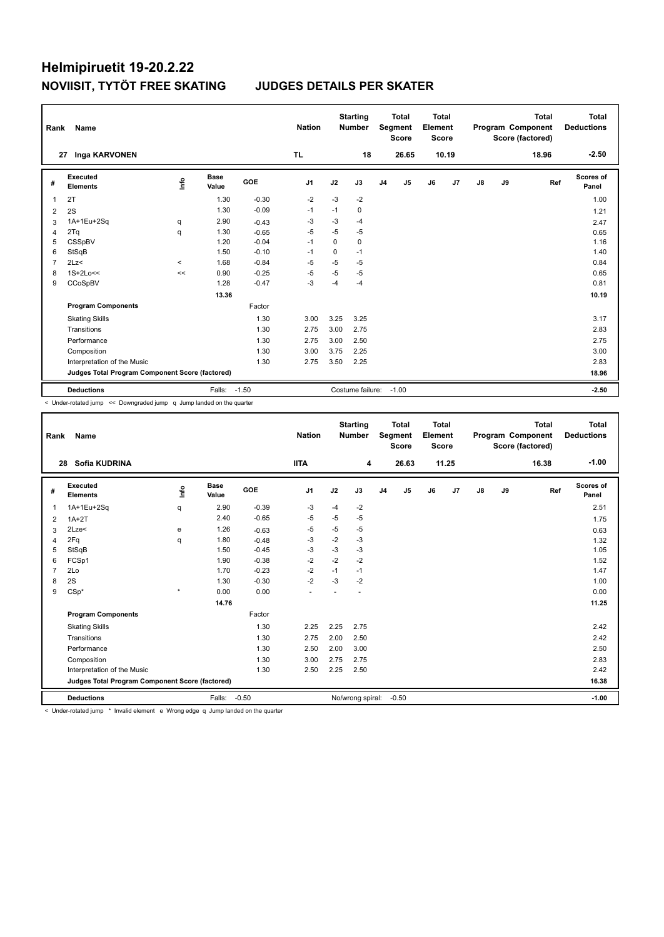| Rank           | Name                                            |         |                      |         | <b>Nation</b> |      | <b>Starting</b><br><b>Number</b> |                | <b>Total</b><br><b>Segment</b><br><b>Score</b> | Total<br>Element<br><b>Score</b> |       |               |    | <b>Total</b><br>Program Component<br>Score (factored) | Total<br><b>Deductions</b> |
|----------------|-------------------------------------------------|---------|----------------------|---------|---------------|------|----------------------------------|----------------|------------------------------------------------|----------------------------------|-------|---------------|----|-------------------------------------------------------|----------------------------|
| 27             | Inga KARVONEN                                   |         |                      |         | <b>TL</b>     |      | 18                               |                | 26.65                                          |                                  | 10.19 |               |    | 18.96                                                 | $-2.50$                    |
| #              | Executed<br><b>Elements</b>                     | ۴       | <b>Base</b><br>Value | GOE     | J1            | J2   | J3                               | J <sub>4</sub> | J5                                             | J6                               | J7    | $\mathsf{J}8$ | J9 | Ref                                                   | <b>Scores of</b><br>Panel  |
| $\overline{1}$ | 2T                                              |         | 1.30                 | $-0.30$ | $-2$          | $-3$ | $-2$                             |                |                                                |                                  |       |               |    |                                                       | 1.00                       |
| 2              | 2S                                              |         | 1.30                 | $-0.09$ | $-1$          | $-1$ | 0                                |                |                                                |                                  |       |               |    |                                                       | 1.21                       |
| 3              | 1A+1Eu+2Sq                                      | q       | 2.90                 | $-0.43$ | $-3$          | $-3$ | $-4$                             |                |                                                |                                  |       |               |    |                                                       | 2.47                       |
| 4              | 2Tq                                             | q       | 1.30                 | $-0.65$ | $-5$          | $-5$ | $-5$                             |                |                                                |                                  |       |               |    |                                                       | 0.65                       |
| 5              | CSSpBV                                          |         | 1.20                 | $-0.04$ | $-1$          | 0    | 0                                |                |                                                |                                  |       |               |    |                                                       | 1.16                       |
| 6              | StSqB                                           |         | 1.50                 | $-0.10$ | $-1$          | 0    | $-1$                             |                |                                                |                                  |       |               |    |                                                       | 1.40                       |
| $\overline{7}$ | 2Lz<                                            | $\prec$ | 1.68                 | $-0.84$ | $-5$          | $-5$ | $-5$                             |                |                                                |                                  |       |               |    |                                                       | 0.84                       |
| 8              | $1S+2Lo<<$                                      | $\,<$   | 0.90                 | $-0.25$ | $-5$          | $-5$ | $-5$                             |                |                                                |                                  |       |               |    |                                                       | 0.65                       |
| 9              | CCoSpBV                                         |         | 1.28                 | $-0.47$ | $-3$          | -4   | $-4$                             |                |                                                |                                  |       |               |    |                                                       | 0.81                       |
|                |                                                 |         | 13.36                |         |               |      |                                  |                |                                                |                                  |       |               |    |                                                       | 10.19                      |
|                | <b>Program Components</b>                       |         |                      | Factor  |               |      |                                  |                |                                                |                                  |       |               |    |                                                       |                            |
|                | <b>Skating Skills</b>                           |         |                      | 1.30    | 3.00          | 3.25 | 3.25                             |                |                                                |                                  |       |               |    |                                                       | 3.17                       |
|                | Transitions                                     |         |                      | 1.30    | 2.75          | 3.00 | 2.75                             |                |                                                |                                  |       |               |    |                                                       | 2.83                       |
|                | Performance                                     |         |                      | 1.30    | 2.75          | 3.00 | 2.50                             |                |                                                |                                  |       |               |    |                                                       | 2.75                       |
|                | Composition                                     |         |                      | 1.30    | 3.00          | 3.75 | 2.25                             |                |                                                |                                  |       |               |    |                                                       | 3.00                       |
|                | Interpretation of the Music                     |         |                      | 1.30    | 2.75          | 3.50 | 2.25                             |                |                                                |                                  |       |               |    |                                                       | 2.83                       |
|                | Judges Total Program Component Score (factored) |         |                      |         |               |      |                                  |                |                                                |                                  |       |               |    |                                                       | 18.96                      |
|                | <b>Deductions</b>                               |         | Falls:               | $-1.50$ |               |      | Costume failure:                 |                | $-1.00$                                        |                                  |       |               |    |                                                       | $-2.50$                    |

< Under-rotated jump << Downgraded jump q Jump landed on the quarter

| Rank           | Name                                            |              |                      |            | <b>Nation</b>  |      | <b>Starting</b><br><b>Number</b> |                | <b>Total</b><br>Segment<br><b>Score</b> | <b>Total</b><br>Element<br><b>Score</b> |       |               |    | <b>Total</b><br>Program Component<br>Score (factored) | <b>Total</b><br><b>Deductions</b> |
|----------------|-------------------------------------------------|--------------|----------------------|------------|----------------|------|----------------------------------|----------------|-----------------------------------------|-----------------------------------------|-------|---------------|----|-------------------------------------------------------|-----------------------------------|
| 28             | Sofia KUDRINA                                   |              |                      |            | <b>IITA</b>    |      | 4                                |                | 26.63                                   |                                         | 11.25 |               |    | 16.38                                                 | $-1.00$                           |
| #              | Executed<br><b>Elements</b>                     | lnfo         | <b>Base</b><br>Value | <b>GOE</b> | J <sub>1</sub> | J2   | J3                               | J <sub>4</sub> | J5                                      | J6                                      | J7    | $\mathsf{J}8$ | J9 | Ref                                                   | <b>Scores of</b><br>Panel         |
| 1              | 1A+1Eu+2Sq                                      | q            | 2.90                 | $-0.39$    | $-3$           | $-4$ | $-2$                             |                |                                         |                                         |       |               |    |                                                       | 2.51                              |
| 2              | $1A+2T$                                         |              | 2.40                 | $-0.65$    | -5             | $-5$ | $-5$                             |                |                                         |                                         |       |               |    |                                                       | 1.75                              |
| 3              | 2Lze<                                           | e            | 1.26                 | $-0.63$    | $-5$           | $-5$ | $-5$                             |                |                                         |                                         |       |               |    |                                                       | 0.63                              |
| 4              | 2Fq                                             | q            | 1.80                 | $-0.48$    | $-3$           | $-2$ | $-3$                             |                |                                         |                                         |       |               |    |                                                       | 1.32                              |
| 5              | StSqB                                           |              | 1.50                 | $-0.45$    | $-3$           | $-3$ | $-3$                             |                |                                         |                                         |       |               |    |                                                       | 1.05                              |
| 6              | FCSp1                                           |              | 1.90                 | $-0.38$    | $-2$           | $-2$ | $-2$                             |                |                                         |                                         |       |               |    |                                                       | 1.52                              |
| $\overline{7}$ | 2Lo                                             |              | 1.70                 | $-0.23$    | $-2$           | $-1$ | $-1$                             |                |                                         |                                         |       |               |    |                                                       | 1.47                              |
| 8              | 2S                                              |              | 1.30                 | $-0.30$    | $-2$           | -3   | $-2$                             |                |                                         |                                         |       |               |    |                                                       | 1.00                              |
| 9              | $CSp*$                                          | $\pmb{\ast}$ | 0.00                 | 0.00       |                |      |                                  |                |                                         |                                         |       |               |    |                                                       | 0.00                              |
|                |                                                 |              | 14.76                |            |                |      |                                  |                |                                         |                                         |       |               |    |                                                       | 11.25                             |
|                | <b>Program Components</b>                       |              |                      | Factor     |                |      |                                  |                |                                         |                                         |       |               |    |                                                       |                                   |
|                | <b>Skating Skills</b>                           |              |                      | 1.30       | 2.25           | 2.25 | 2.75                             |                |                                         |                                         |       |               |    |                                                       | 2.42                              |
|                | Transitions                                     |              |                      | 1.30       | 2.75           | 2.00 | 2.50                             |                |                                         |                                         |       |               |    |                                                       | 2.42                              |
|                | Performance                                     |              |                      | 1.30       | 2.50           | 2.00 | 3.00                             |                |                                         |                                         |       |               |    |                                                       | 2.50                              |
|                | Composition                                     |              |                      | 1.30       | 3.00           | 2.75 | 2.75                             |                |                                         |                                         |       |               |    |                                                       | 2.83                              |
|                | Interpretation of the Music                     |              |                      | 1.30       | 2.50           | 2.25 | 2.50                             |                |                                         |                                         |       |               |    |                                                       | 2.42                              |
|                | Judges Total Program Component Score (factored) |              |                      |            |                |      |                                  |                |                                         |                                         |       |               |    |                                                       | 16.38                             |
|                | <b>Deductions</b>                               |              | Falls:               | $-0.50$    |                |      | No/wrong spiral:                 |                | $-0.50$                                 |                                         |       |               |    |                                                       | $-1.00$                           |

< Under-rotated jump \* Invalid element e Wrong edge q Jump landed on the quarter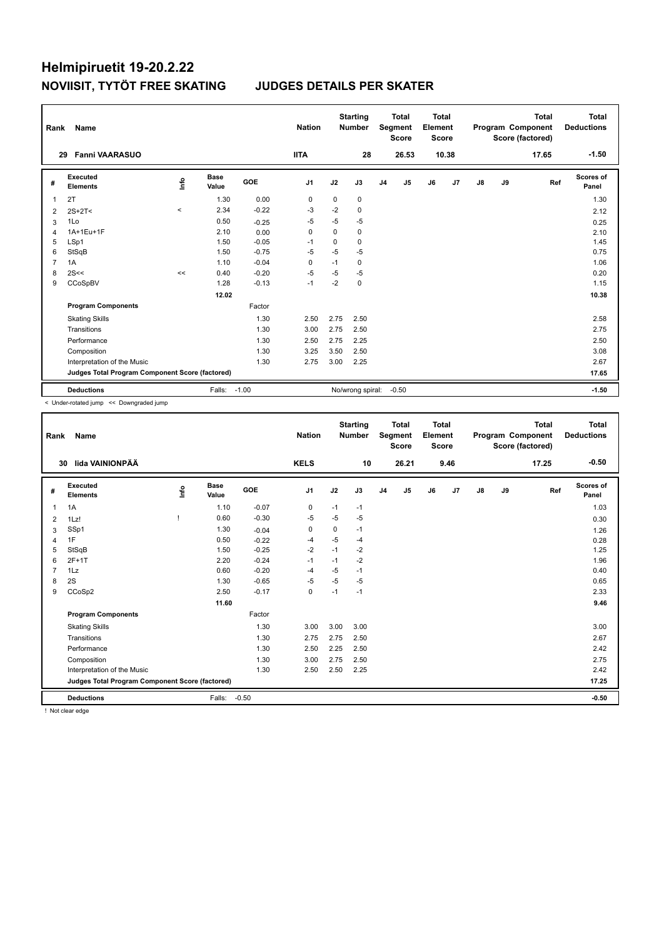| Rank           | Name                                            |            |                      |         | <b>Nation</b> |          | <b>Starting</b><br><b>Number</b> |                | <b>Total</b><br>Segment<br><b>Score</b> | Total<br>Element<br><b>Score</b> |                |               |    | <b>Total</b><br>Program Component<br>Score (factored) | <b>Total</b><br><b>Deductions</b> |
|----------------|-------------------------------------------------|------------|----------------------|---------|---------------|----------|----------------------------------|----------------|-----------------------------------------|----------------------------------|----------------|---------------|----|-------------------------------------------------------|-----------------------------------|
|                | <b>Fanni VAARASUO</b><br>29                     |            |                      |         | <b>IITA</b>   |          | 28                               |                | 26.53                                   |                                  | 10.38          |               |    | 17.65                                                 | $-1.50$                           |
| #              | Executed<br><b>Elements</b>                     | <u>f</u> o | <b>Base</b><br>Value | GOE     | J1            | J2       | J3                               | J <sub>4</sub> | J5                                      | J6                               | J <sub>7</sub> | $\mathsf{J}8$ | J9 | Ref                                                   | <b>Scores of</b><br>Panel         |
| $\overline{1}$ | 2T                                              |            | 1.30                 | 0.00    | 0             | 0        | 0                                |                |                                         |                                  |                |               |    |                                                       | 1.30                              |
| 2              | $2S+2T<$                                        | $\prec$    | 2.34                 | $-0.22$ | $-3$          | $-2$     | 0                                |                |                                         |                                  |                |               |    |                                                       | 2.12                              |
| 3              | 1Lo                                             |            | 0.50                 | $-0.25$ | -5            | $-5$     | $-5$                             |                |                                         |                                  |                |               |    |                                                       | 0.25                              |
| $\overline{4}$ | 1A+1Eu+1F                                       |            | 2.10                 | 0.00    | $\Omega$      | $\Omega$ | 0                                |                |                                         |                                  |                |               |    |                                                       | 2.10                              |
| 5              | LSp1                                            |            | 1.50                 | $-0.05$ | -1            | $\Omega$ | $\Omega$                         |                |                                         |                                  |                |               |    |                                                       | 1.45                              |
| 6              | StSqB                                           |            | 1.50                 | $-0.75$ | $-5$          | $-5$     | $-5$                             |                |                                         |                                  |                |               |    |                                                       | 0.75                              |
| $\overline{7}$ | 1A                                              |            | 1.10                 | $-0.04$ | 0             | $-1$     | 0                                |                |                                         |                                  |                |               |    |                                                       | 1.06                              |
| 8              | 2S<<                                            | <<         | 0.40                 | $-0.20$ | $-5$          | $-5$     | $-5$                             |                |                                         |                                  |                |               |    |                                                       | 0.20                              |
| 9              | CCoSpBV                                         |            | 1.28                 | $-0.13$ | $-1$          | $-2$     | 0                                |                |                                         |                                  |                |               |    |                                                       | 1.15                              |
|                |                                                 |            | 12.02                |         |               |          |                                  |                |                                         |                                  |                |               |    |                                                       | 10.38                             |
|                | <b>Program Components</b>                       |            |                      | Factor  |               |          |                                  |                |                                         |                                  |                |               |    |                                                       |                                   |
|                | <b>Skating Skills</b>                           |            |                      | 1.30    | 2.50          | 2.75     | 2.50                             |                |                                         |                                  |                |               |    |                                                       | 2.58                              |
|                | Transitions                                     |            |                      | 1.30    | 3.00          | 2.75     | 2.50                             |                |                                         |                                  |                |               |    |                                                       | 2.75                              |
|                | Performance                                     |            |                      | 1.30    | 2.50          | 2.75     | 2.25                             |                |                                         |                                  |                |               |    |                                                       | 2.50                              |
|                | Composition                                     |            |                      | 1.30    | 3.25          | 3.50     | 2.50                             |                |                                         |                                  |                |               |    |                                                       | 3.08                              |
|                | Interpretation of the Music                     |            |                      | 1.30    | 2.75          | 3.00     | 2.25                             |                |                                         |                                  |                |               |    |                                                       | 2.67                              |
|                | Judges Total Program Component Score (factored) |            |                      |         |               |          |                                  |                |                                         |                                  |                |               |    |                                                       | 17.65                             |
|                | <b>Deductions</b>                               |            | Falls:               | $-1.00$ |               |          | No/wrong spiral:                 |                | $-0.50$                                 |                                  |                |               |    |                                                       | $-1.50$                           |

< Under-rotated jump << Downgraded jump

| Rank           | Name                                            |      |               |         | <b>Nation</b>  |      | <b>Starting</b><br><b>Number</b> |                | <b>Total</b><br>Segment<br><b>Score</b> | <b>Total</b><br>Element<br><b>Score</b> |      |    |    | <b>Total</b><br>Program Component<br>Score (factored) | <b>Total</b><br><b>Deductions</b> |
|----------------|-------------------------------------------------|------|---------------|---------|----------------|------|----------------------------------|----------------|-----------------------------------------|-----------------------------------------|------|----|----|-------------------------------------------------------|-----------------------------------|
|                | lida VAINIONPÄÄ<br>30                           |      |               |         | <b>KELS</b>    |      | 10                               |                | 26.21                                   |                                         | 9.46 |    |    | 17.25                                                 | $-0.50$                           |
| #              | Executed<br><b>Elements</b>                     | lnfo | Base<br>Value | GOE     | J <sub>1</sub> | J2   | J3                               | J <sub>4</sub> | J <sub>5</sub>                          | J6                                      | J7   | J8 | J9 | Ref                                                   | Scores of<br>Panel                |
| 1              | 1A                                              |      | 1.10          | $-0.07$ | $\pmb{0}$      | $-1$ | $-1$                             |                |                                         |                                         |      |    |    |                                                       | 1.03                              |
| 2              | 1Lz!                                            |      | 0.60          | $-0.30$ | $-5$           | $-5$ | $-5$                             |                |                                         |                                         |      |    |    |                                                       | 0.30                              |
| 3              | SSp1                                            |      | 1.30          | $-0.04$ | 0              | 0    | $-1$                             |                |                                         |                                         |      |    |    |                                                       | 1.26                              |
| 4              | 1F                                              |      | 0.50          | $-0.22$ | -4             | $-5$ | $-4$                             |                |                                         |                                         |      |    |    |                                                       | 0.28                              |
| 5              | StSqB                                           |      | 1.50          | $-0.25$ | $-2$           | $-1$ | $-2$                             |                |                                         |                                         |      |    |    |                                                       | 1.25                              |
| 6              | $2F+1T$                                         |      | 2.20          | $-0.24$ | $-1$           | $-1$ | $-2$                             |                |                                         |                                         |      |    |    |                                                       | 1.96                              |
| $\overline{7}$ | 1Lz                                             |      | 0.60          | $-0.20$ | $-4$           | $-5$ | $-1$                             |                |                                         |                                         |      |    |    |                                                       | 0.40                              |
| 8              | 2S                                              |      | 1.30          | $-0.65$ | $-5$           | $-5$ | $-5$                             |                |                                         |                                         |      |    |    |                                                       | 0.65                              |
| 9              | CCoSp2                                          |      | 2.50          | $-0.17$ | $\mathbf 0$    | $-1$ | $-1$                             |                |                                         |                                         |      |    |    |                                                       | 2.33                              |
|                |                                                 |      | 11.60         |         |                |      |                                  |                |                                         |                                         |      |    |    |                                                       | 9.46                              |
|                | <b>Program Components</b>                       |      |               | Factor  |                |      |                                  |                |                                         |                                         |      |    |    |                                                       |                                   |
|                | <b>Skating Skills</b>                           |      |               | 1.30    | 3.00           | 3.00 | 3.00                             |                |                                         |                                         |      |    |    |                                                       | 3.00                              |
|                | Transitions                                     |      |               | 1.30    | 2.75           | 2.75 | 2.50                             |                |                                         |                                         |      |    |    |                                                       | 2.67                              |
|                | Performance                                     |      |               | 1.30    | 2.50           | 2.25 | 2.50                             |                |                                         |                                         |      |    |    |                                                       | 2.42                              |
|                | Composition                                     |      |               | 1.30    | 3.00           | 2.75 | 2.50                             |                |                                         |                                         |      |    |    |                                                       | 2.75                              |
|                | Interpretation of the Music                     |      |               | 1.30    | 2.50           | 2.50 | 2.25                             |                |                                         |                                         |      |    |    |                                                       | 2.42                              |
|                | Judges Total Program Component Score (factored) |      |               |         |                |      |                                  |                |                                         |                                         |      |    |    |                                                       | 17.25                             |
|                | <b>Deductions</b>                               |      | Falls:        | $-0.50$ |                |      |                                  |                |                                         |                                         |      |    |    |                                                       | $-0.50$                           |

! Not clear edge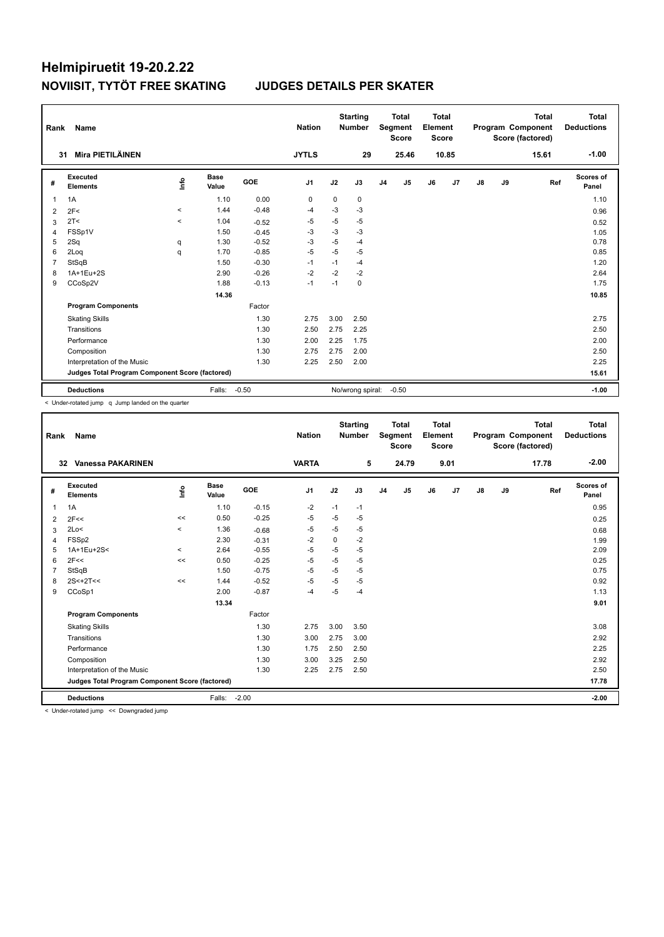| Rank           | Name                                            |          |                      |         | <b>Nation</b>  |      | <b>Starting</b><br><b>Number</b> |                | <b>Total</b><br>Segment<br><b>Score</b> | <b>Total</b><br>Element<br><b>Score</b> |                |    |    | <b>Total</b><br>Program Component<br>Score (factored) | Total<br><b>Deductions</b> |
|----------------|-------------------------------------------------|----------|----------------------|---------|----------------|------|----------------------------------|----------------|-----------------------------------------|-----------------------------------------|----------------|----|----|-------------------------------------------------------|----------------------------|
| 31             | Mira PIETILÄINEN                                |          |                      |         | <b>JYTLS</b>   |      | 29                               |                | 25.46                                   |                                         | 10.85          |    |    | 15.61                                                 | $-1.00$                    |
| #              | Executed<br><b>Elements</b>                     | ۴ů       | <b>Base</b><br>Value | GOE     | J <sub>1</sub> | J2   | J3                               | J <sub>4</sub> | J <sub>5</sub>                          | J6                                      | J <sub>7</sub> | J8 | J9 | Ref                                                   | <b>Scores of</b><br>Panel  |
| $\overline{1}$ | 1A                                              |          | 1.10                 | 0.00    | 0              | 0    | 0                                |                |                                         |                                         |                |    |    |                                                       | 1.10                       |
| 2              | 2F<                                             | $\hat{}$ | 1.44                 | $-0.48$ | $-4$           | $-3$ | $-3$                             |                |                                         |                                         |                |    |    |                                                       | 0.96                       |
| 3              | 2T <                                            | $\prec$  | 1.04                 | $-0.52$ | $-5$           | $-5$ | $-5$                             |                |                                         |                                         |                |    |    |                                                       | 0.52                       |
| $\overline{4}$ | FSSp1V                                          |          | 1.50                 | $-0.45$ | -3             | $-3$ | $-3$                             |                |                                         |                                         |                |    |    |                                                       | 1.05                       |
| 5              | 2Sq                                             | q        | 1.30                 | $-0.52$ | $-3$           | $-5$ | $-4$                             |                |                                         |                                         |                |    |    |                                                       | 0.78                       |
| 6              | 2Log                                            | q        | 1.70                 | $-0.85$ | $-5$           | $-5$ | $-5$                             |                |                                         |                                         |                |    |    |                                                       | 0.85                       |
| $\overline{7}$ | StSqB                                           |          | 1.50                 | $-0.30$ | $-1$           | $-1$ | $-4$                             |                |                                         |                                         |                |    |    |                                                       | 1.20                       |
| 8              | 1A+1Eu+2S                                       |          | 2.90                 | $-0.26$ | $-2$           | $-2$ | $-2$                             |                |                                         |                                         |                |    |    |                                                       | 2.64                       |
| 9              | CCoSp2V                                         |          | 1.88                 | $-0.13$ | $-1$           | $-1$ | 0                                |                |                                         |                                         |                |    |    |                                                       | 1.75                       |
|                |                                                 |          | 14.36                |         |                |      |                                  |                |                                         |                                         |                |    |    |                                                       | 10.85                      |
|                | <b>Program Components</b>                       |          |                      | Factor  |                |      |                                  |                |                                         |                                         |                |    |    |                                                       |                            |
|                | <b>Skating Skills</b>                           |          |                      | 1.30    | 2.75           | 3.00 | 2.50                             |                |                                         |                                         |                |    |    |                                                       | 2.75                       |
|                | Transitions                                     |          |                      | 1.30    | 2.50           | 2.75 | 2.25                             |                |                                         |                                         |                |    |    |                                                       | 2.50                       |
|                | Performance                                     |          |                      | 1.30    | 2.00           | 2.25 | 1.75                             |                |                                         |                                         |                |    |    |                                                       | 2.00                       |
|                | Composition                                     |          |                      | 1.30    | 2.75           | 2.75 | 2.00                             |                |                                         |                                         |                |    |    |                                                       | 2.50                       |
|                | Interpretation of the Music                     |          |                      | 1.30    | 2.25           | 2.50 | 2.00                             |                |                                         |                                         |                |    |    |                                                       | 2.25                       |
|                | Judges Total Program Component Score (factored) |          |                      |         |                |      |                                  |                |                                         |                                         |                |    |    |                                                       | 15.61                      |
|                | <b>Deductions</b>                               |          | Falls:               | $-0.50$ |                |      | No/wrong spiral:                 |                | $-0.50$                                 |                                         |                |    |    |                                                       | $-1.00$                    |

< Under-rotated jump q Jump landed on the quarter

| Rank           | <b>Name</b>                                     |         |                      |         | <b>Nation</b>  |      | <b>Starting</b><br><b>Number</b> |                | <b>Total</b><br>Segment<br><b>Score</b> | <b>Total</b><br>Element<br><b>Score</b> |      |               |    | <b>Total</b><br>Program Component<br>Score (factored) | Total<br><b>Deductions</b> |
|----------------|-------------------------------------------------|---------|----------------------|---------|----------------|------|----------------------------------|----------------|-----------------------------------------|-----------------------------------------|------|---------------|----|-------------------------------------------------------|----------------------------|
|                | <b>Vanessa PAKARINEN</b><br>32                  |         |                      |         | <b>VARTA</b>   |      | 5                                |                | 24.79                                   |                                         | 9.01 |               |    | 17.78                                                 | $-2.00$                    |
| #              | Executed<br><b>Elements</b>                     | info    | <b>Base</b><br>Value | GOE     | J <sub>1</sub> | J2   | J3                               | J <sub>4</sub> | J5                                      | J6                                      | J7   | $\mathsf{J}8$ | J9 | Ref                                                   | <b>Scores of</b><br>Panel  |
| $\mathbf{1}$   | 1A                                              |         | 1.10                 | $-0.15$ | $-2$           | $-1$ | $-1$                             |                |                                         |                                         |      |               |    |                                                       | 0.95                       |
| 2              | 2F<<                                            | <<      | 0.50                 | $-0.25$ | $-5$           | $-5$ | $-5$                             |                |                                         |                                         |      |               |    |                                                       | 0.25                       |
| 3              | 2Lo<                                            | $\prec$ | 1.36                 | $-0.68$ | $-5$           | $-5$ | $-5$                             |                |                                         |                                         |      |               |    |                                                       | 0.68                       |
| 4              | FSS <sub>p2</sub>                               |         | 2.30                 | $-0.31$ | $-2$           | 0    | $-2$                             |                |                                         |                                         |      |               |    |                                                       | 1.99                       |
| 5              | 1A+1Eu+2S<                                      | $\,<$   | 2.64                 | $-0.55$ | $-5$           | $-5$ | $-5$                             |                |                                         |                                         |      |               |    |                                                       | 2.09                       |
| 6              | 2F<<                                            | <<      | 0.50                 | $-0.25$ | $-5$           | $-5$ | $-5$                             |                |                                         |                                         |      |               |    |                                                       | 0.25                       |
| $\overline{7}$ | StSqB                                           |         | 1.50                 | $-0.75$ | $-5$           | $-5$ | $-5$                             |                |                                         |                                         |      |               |    |                                                       | 0.75                       |
| 8              | $2S < +2T <$                                    | <<      | 1.44                 | $-0.52$ | $-5$           | $-5$ | $-5$                             |                |                                         |                                         |      |               |    |                                                       | 0.92                       |
| 9              | CCoSp1                                          |         | 2.00                 | $-0.87$ | $-4$           | $-5$ | $-4$                             |                |                                         |                                         |      |               |    |                                                       | 1.13                       |
|                |                                                 |         | 13.34                |         |                |      |                                  |                |                                         |                                         |      |               |    |                                                       | 9.01                       |
|                | <b>Program Components</b>                       |         |                      | Factor  |                |      |                                  |                |                                         |                                         |      |               |    |                                                       |                            |
|                | <b>Skating Skills</b>                           |         |                      | 1.30    | 2.75           | 3.00 | 3.50                             |                |                                         |                                         |      |               |    |                                                       | 3.08                       |
|                | Transitions                                     |         |                      | 1.30    | 3.00           | 2.75 | 3.00                             |                |                                         |                                         |      |               |    |                                                       | 2.92                       |
|                | Performance                                     |         |                      | 1.30    | 1.75           | 2.50 | 2.50                             |                |                                         |                                         |      |               |    |                                                       | 2.25                       |
|                | Composition                                     |         |                      | 1.30    | 3.00           | 3.25 | 2.50                             |                |                                         |                                         |      |               |    |                                                       | 2.92                       |
|                | Interpretation of the Music                     |         |                      | 1.30    | 2.25           | 2.75 | 2.50                             |                |                                         |                                         |      |               |    |                                                       | 2.50                       |
|                | Judges Total Program Component Score (factored) |         |                      |         |                |      |                                  |                |                                         |                                         |      |               |    |                                                       | 17.78                      |
|                | <b>Deductions</b>                               |         | Falls:               | $-2.00$ |                |      |                                  |                |                                         |                                         |      |               |    |                                                       | $-2.00$                    |

< Under-rotated jump << Downgraded jump